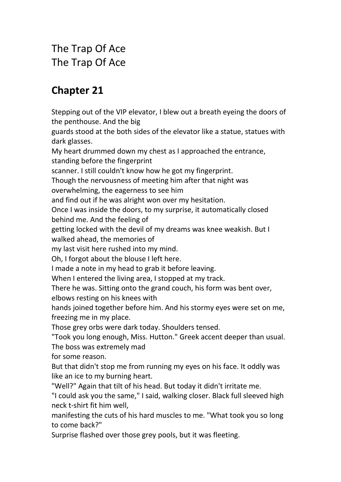The Trap Of Ace The Trap Of Ace

## **Chapter 21**

Stepping out of the VIP elevator, I blew out a breath eyeing the doors of the penthouse. And the big guards stood at the both sides of the elevator like a statue, statues with dark glasses. My heart drummed down my chest as Iapproached the entrance, standing before the fingerprint scanner. I still couldn't know how he got my fingerprint. Though the nervousness of meeting him after that night was overwhelming, the eagerness to see him and find out if he was alright won over my hesitation. Once I was inside the doors, to my surprise, it automatically closed behind me. And the feeling of getting locked with the devil of my dreams was knee weakish. But I walked ahead, the memories of my last visit here rushed into my mind. Oh, I forgot about the blouse I left here. I made a note in my head to grab it before leaving. When I entered the living area, I stopped at my track. There he was. Sitting onto the grand couch, his form was bent over, elbows resting on his knees with hands joined together before him. And his stormy eyes were set on me, freezing me in my place. Those grey orbs were dark today. Shoulders tensed. "Took you long enough, Miss. Hutton." Greek accent deeper than usual. The boss was extremely mad for some reason. But that didn't stop me from running my eyes on his face. It oddly was like an ice to my burning heart. "Well?" Again that tilt of his head. But today it didn't irritate me. "I could ask you the same," I said, walking closer. Black full sleeved high neck t-shirt fit him well, manifesting the cuts of his hard muscles to me. "What took you so long to come back?" Surprise flashed over those grey pools, but it was fleeting.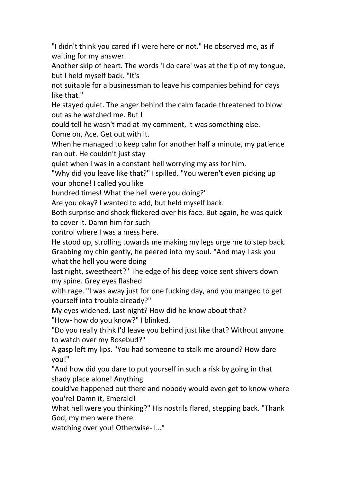"I didn't think you cared if I were here or not." He observed me, as if waiting for my answer.

Another skip of heart. The words 'I do care' was at the tip of my tongue, but I held myself back. "It's

not suitable for a businessman to leave his companies behind for days like that."

He stayed quiet. The anger behind the calm facade threatened to blow out as he watched me. But I

could tell he wasn't mad at my comment, it was something else.

Come on, Ace. Get out with it.

When he managed to keep calm for another half a minute, my patience ran out. He couldn't just stay

quiet when I was in a constant hell worrying my ass for him.

"Why did you leave like that?" I spilled. "You weren't even picking up your phone! I called you like

hundred times! What the hell were you doing?"

Are you okay? I wanted to add, but held myself back.<br>Both surprise and shock flickered over his face. But again, he was quick to cover it. Damn him for such

control where I was a mess here.

He stood up, strolling towards me making my legs urge me to step back. Grabbing my chin gently, he peered into my soul. "And may I ask you what the hell you were doing

last night, sweetheart?" The edge of his deep voice sent shivers down my spine. Grey eyes flashed

with rage. "I was away just for one fucking day, and you manged to get yourself into trouble already?"

My eyes widened. Last night? How did he know about that? "How- how do you know?" I blinked.

"Do you really think I'd leave you behind just like that? Without anyone to watch over my Rosebud?"

A gasp left my lips. "You had someone to stalk me around? How dare you!"

"And how did you dare to put yourself in such a risk by going in that shady place alone! Anything

could've happened out there and nobody would even get to know where you're! Damn it, Emerald!

What hell were you thinking?" His nostrils flared, stepping back. "Thank God, my men were there

watching over you! Otherwise- I…"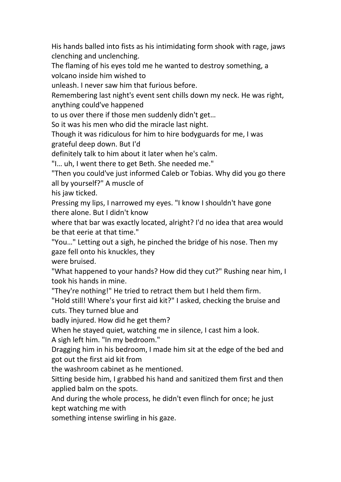His hands balled into fists as his intimidating form shook with rage, jaws clenching and unclenching.

The flaming of his eyes told me he wanted to destroy something, a volcano inside him wished to

unleash. I never saw him that furious before.

Remembering last night's event sent chills down my neck. He was right, anything could've happened

to us over there if those men suddenly didn't get…

So it was his men who did the miracle last night.

Though it was ridiculous for him to hire bodyguards for me, I was

grateful deep down. But I'd

definitely talk to him about it later when he's calm.

"I… uh, I went there to get Beth. She needed me."

"Then you could've just informed Caleb or Tobias. Why did you go there all by yourself?" A muscle of

his jaw ticked.

Pressing my lips, I narrowed my eyes. "I know I shouldn't have gone there alone. But I didn't know

where that bar was exactly located, alright? I'd no idea that area would be that eerie at that time."

"You…" Letting out a sigh, he pinched the bridge of his nose. Then my gaze fell onto his knuckles, they

were bruised.

"What happened to your hands? How did they cut?" Rushing near him, I took his hands in mine.

"They're nothing!" He tried to retract them but I held them firm.

"Hold still! Where's your first aid kit?" I asked, checking the bruise and cuts. They turned blue and

badly injured. How did he get them?

When he stayed quiet, watching me in silence, I cast him a look.

A sigh left him. "In my bedroom."

Dragging him in his bedroom, I made him sit at the edge of the bed and got out the first aid kit from

the washroom cabinet as he mentioned.

Sitting beside him, I grabbed his hand and sanitized them first and then applied balm on the spots.

And during the whole process, he didn't even flinch for once; he just kept watching me with

something intense swirling in his gaze.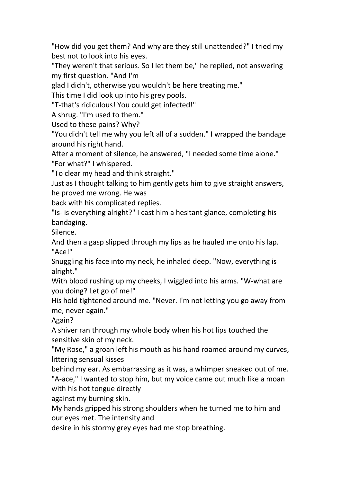"How did you get them? And why are they still unattended?" I tried my best not to look into his eyes.

"They weren't that serious. So I let them be," he replied, not answering my first question. "And I'm

glad I didn't, otherwise you wouldn't be here treating me."

This time I did look up into his grey pools.

"T-that's ridiculous! You could get infected!"

A shrug. "I'm used to them."

Used to these pains? Why?

"You didn't tell me why you left all of a sudden." I wrapped the bandage around his right hand.

After a moment of silence, he answered, "I needed some time alone." "For what?" I whispered.

"To clear my head and think straight."

Just as I thought talking to him gently gets him to give straight answers, he proved me wrong. He was

back with his complicated replies.

"Is- is everything alright?" I cast him a hesitant glance, completing his bandaging.

Silence.

And then a gasp slipped through my lips as he hauled me onto his lap. "Ace!"

Snuggling his face into my neck, he inhaled deep. "Now, everything is alright."

With blood rushing up my cheeks, I wiggled into his arms. "W-what are you doing? Let go of me!"

His hold tightened around me. "Never. I'm not letting you go away from me, never again."

Again?

A shiver ran through my whole body when his hot lips touched the sensitive skin of my neck.

"My Rose," a groan left his mouth as his hand roamed around my curves, littering sensual kisses

behind my ear. As embarrassing as it was, a whimper sneaked out of me. "A-ace," I wanted to stop him, but my voice came out much like a moan with his hot tongue directly

against my burning skin.

My hands gripped his strong shoulders when he turned me to him and our eyes met. The intensity and

desire in his stormy grey eyes had me stop breathing.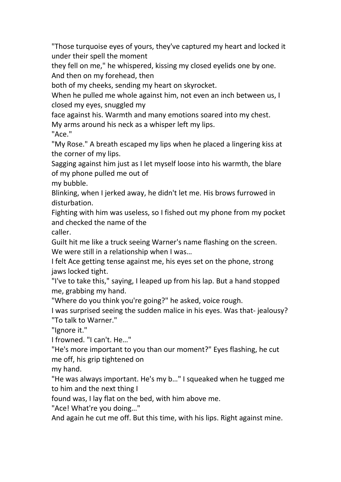"Those turquoise eyes of yours, they've captured my heart and locked it under their spell the moment

they fell on me." he whispered, kissing my closed eyelids one by one. And then on my forehead, then

both of my cheeks, sending my heart on skyrocket.

When he pulled me whole against him, not even an inch between us, I closed my eyes, snuggled my

face against his. Warmth and many emotions soared into my chest.

My arms around his neck as a whisper left my lips.

"Ace."

"My Rose." A breath escaped my lips when he placed a lingering kiss at the corner of my lips.

Sagging against him just as Ilet myself loose into his warmth, the blare of my phone pulled me out of

my bubble.

Blinking, when I jerked away, he didn't let me. His brows furrowed in disturbation.

Fighting with him was useless, so I fished out my phone from my pocket and checked the name of the

caller.

Guilt hit me like a truck seeing Warner's name flashing on the screen. We were still in a relationship when I was...

I felt Ace getting tense against me, his eyes set on the phone, strong jaws locked tight.

"I've to take this," saying, I leaped up from his lap. But a hand stopped me, grabbing my hand.

"Where do you think you're going?" he asked, voice rough.

I was surprised seeing the sudden malice in his eyes.Was that- jealousy? "To talk to Warner."

"Ignore it."

I frowned. "I can't. He…"

"He's more important to you than our moment?" Eyes flashing, he cut me off, his grip tightened on

my hand.

"He was always important. He's my b…" I squeaked when he tugged me to him and the next thing I

found was, I lay flat on the bed, with him above me.

"Ace! What're you doing…"

And again he cut me off. But this time, with his lips. Right against mine.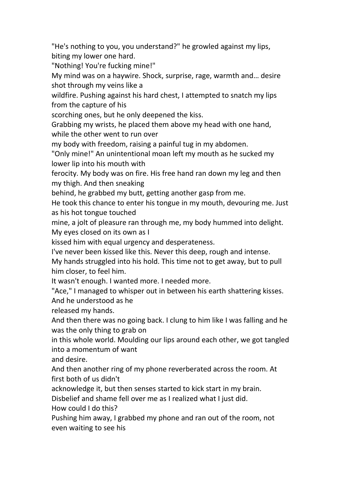"He's nothing to you, you understand?" he growled against my lips, biting my lower one hard.

"Nothing! You're fucking mine!"

My mind was on a haywire. Shock, surprise, rage, warmth and… desire shot through my veins like a

wildfire. Pushing against his hard chest, I attempted to snatch my lips from the capture of his

scorching ones, but he only deepened the kiss.

Grabbing my wrists, he placed them above my head with one hand, while the other went to run over

my body with freedom, raising a painful tug in my abdomen.

"Only mine!" An unintentional moan left my mouth as he sucked my lower lip into his mouth with

ferocity. My body was on fire. His free hand ran down my leg and then my thigh. And then sneaking

behind, he grabbed my butt, getting another gasp from me.

He took this chance to enter his tongue in my mouth, devouring me. Just as his hot tongue touched

mine, a jolt of pleasure ran through me, my body hummed into delight. My eyes closed on its own as I

kissed him with equal urgency and desperateness.

I've never been kissed like this. Never this deep, rough and intense.

My hands struggled into his hold. This time not to get away, but to pull him closer, to feel him.

It wasn't enough. I wanted more. I needed more.

"Ace," I managed to whisper out in between his earth shattering kisses. And he understood as he

released my hands.

And then there was no going back. I clung to him like I was falling and he was the only thing to grab on

in this whole world. Moulding our lips around each other, we got tangled into a momentum of want

and desire.

And then another ring of my phone reverberated across the room. At first both of us didn't

acknowledge it, but then senses started to kick start in my brain.

Disbelief and shame fell over me as I realized what I just did.

How could I do this?

Pushing him away, I grabbed my phone and ran out of the room, not even waiting to see his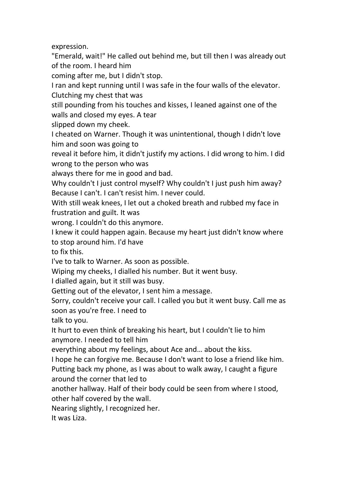expression.

"Emerald, wait!" He called out behind me, but till then I was already out of the room. I heard him

coming after me, but I didn't stop.

I ran and kept running until I was safe in the four walls of the elevator. Clutching my chest that was

still pounding from his touches and kisses, I leaned against one of the walls and closed my eyes. A tear

slipped down my cheek.

I cheated on Warner. Though it was unintentional, though I didn't love him and soon was going to

reveal it before him, it didn't justify my actions. I did wrong to him. I did wrong to the person who was

always there for me in good and bad.

Why couldn't I just control myself? Why couldn't I just push him away? Because I can't. I can't resist him. I never could.

With still weak knees, I let out a choked breath and rubbed my face in frustration and guilt. It was

wrong. I couldn't do this anymore.

I knew it could happen again. Because my heart just didn't know where to stop around him.I'd have

to fix this.

I've to talk to Warner. As soon as possible.

Wiping my cheeks, I dialled his number. But it went busy.

I dialled again, but it still was busy.

Getting out of the elevator, I sent him a message.

Sorry, couldn't receive your call. I called you but it went busy. Call me as soon as you're free. I need to

talk to you.

It hurt to even think of breaking his heart, but I couldn't lie to him anymore. I needed to tell him

everything about my feelings, about Ace and... about the kiss.

I hope he can forgive me. Because I don't want to lose a friend like him. Putting back my phone, as I was about to walk away, I caught a figure around the corner that led to

another hallway. Half of their body could be seen from where I stood, other half covered by the wall.

Nearing slightly, I recognized her.

It was Liza.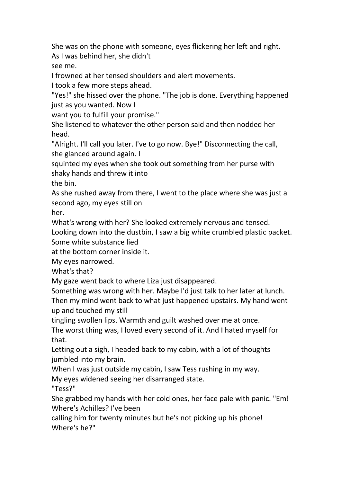She was on the phone with someone, eyes flickering her left and right. As I was behind her, she didn't

see me.

I frowned at her tensed shoulders and alert movements.

I took a few more steps ahead.

"Yes!" she hissed over the phone. "The job is done. Everything happened just as you wanted. Now I

want you to fulfill your promise."

She listened to whatever the other person said and then nodded her head.

"Alright. I'll call you later. I've to go now. Bye!" Disconnecting the call, she glanced around again. I

squinted my eyes when she took out something from her purse with shaky hands and threw it into

the bin.

As she rushed away from there, I went to the place where she was just a second ago, my eyes still on

her.

What's wrong with her? She looked extremely nervous and tensed.

Looking down into the dustbin, I saw a big white crumbled plastic packet. Some white substance lied

at the bottom corner inside it.

My eyes narrowed.

What's that?

My gaze went back to where Liza just disappeared.

Something was wrong with her. Maybe I'd just talk to her later at lunch. Then my mind went back to what just happened upstairs. My hand went up and touched my still

tingling swollen lips. Warmth and guilt washed over me at once.

The worst thing was, I loved every second of it. And I hated myself for that.

Letting out a sigh, I headed back to my cabin, with a lot of thoughts jumbled into my brain.

When I was just outside my cabin, I saw Tess rushing in my way.

My eyes widened seeing her disarranged state.

"Tess?"

She grabbed my hands with her cold ones, her face pale with panic."Em! Where's Achilles? I've been

calling him for twenty minutes but he's not picking up his phone! Where's he?"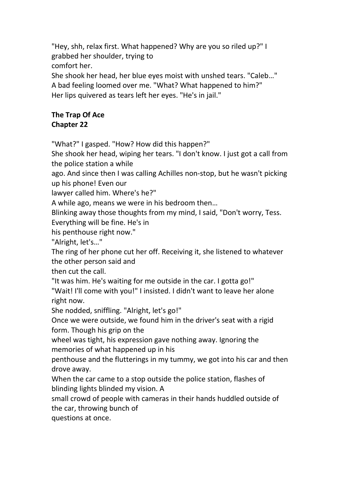"Hey, shh, relax first. What happened? Why are you so riled up?" I grabbed her shoulder, trying to comfort her.

She shook her head, her blue eyes moist with unshed tears. "Caleb…" A bad feeling loomed over me. "What? What happened to him?" Her lips quivered as tears left her eyes. "He's in jail."

## **The Trap Of Ace Chapter 22**

"What?" I gasped. "How? How did this happen?"

She shook her head, wiping her tears. "I don't know. I just got a call from the police station a while

ago. And since then I was calling Achilles non-stop, but he wasn't picking up his phone! Even our

lawyer called him. Where's he?"

A while ago, means we were in his bedroom then…

Blinking away those thoughts from my mind, I said, "Don't worry, Tess.

Everything will be fine. He's in

his penthouse right now."

"Alright, let's…"

The ring of her phone cut her off. Receiving it, she listened to whatever the other person said and

then cut the call.

"It was him. He's waiting for me outside in the car. I gotta go!"

"Wait! I'll come with you!" I insisted. I didn't want to leave her alone right now.

She nodded, sniffling. "Alright, let's go!"

Once we were outside, we found him in the driver's seat with a rigid form. Though his grip on the

wheel was tight, his expression gave nothing away. Ignoring the memories of what happened up in his

penthouse and the flutterings in my tummy, we got into his car and then drove away.

When the car came to a stop outside the police station, flashes of blinding lights blinded my vision. A

small crowd of people with cameras in their hands huddled outside of the car, throwing bunch of

questions at once.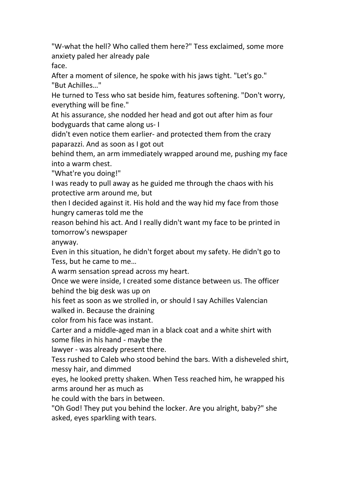"W-what the hell? Who called them here?" Tess exclaimed, some more anxiety paled her already pale face.

After a moment of silence, he spoke with his jaws tight. "Let's go." "But Achilles…"

He turned to Tess who sat beside him, features softening. "Don't worry, everything will be fine."

At his assurance, she nodded her head and got out after him as four bodyguards that came along us- I

didn't even notice them earlier- and protected them from the crazy paparazzi. And as soon as I got out

behind them, an arm immediately wrapped around me, pushing my face into a warm chest.

"What're you doing!"

I was ready to pull away as he guided me through the chaos with his protective arm around me, but

then I decided against it. His hold and the way hid my face from those hungry cameras told me the

reason behind his act. And I really didn't want my face to be printed in tomorrow's newspaper

anyway.

Even in this situation, he didn't forget about my safety. He didn't go to Tess, but he came to me…

A warm sensation spread across my heart.

Once we were inside, I created some distance between us. The officer behind the big desk was up on

his feet as soon as we strolled in, or should I say Achilles Valencian walked in. Because the draining

color from his face was instant.

Carter and a middle-aged man in a black coat and a white shirt with some files in his hand - maybe the

lawyer - was already present there.

Tess rushed to Caleb who stood behind the bars. With a disheveled shirt, messy hair, and dimmed

eyes, he looked pretty shaken. When Tess reached him, he wrapped his arms around her as much as

he could with the bars in between.

"Oh God! They put you behind the locker. Are you alright, baby?" she asked, eyes sparkling with tears.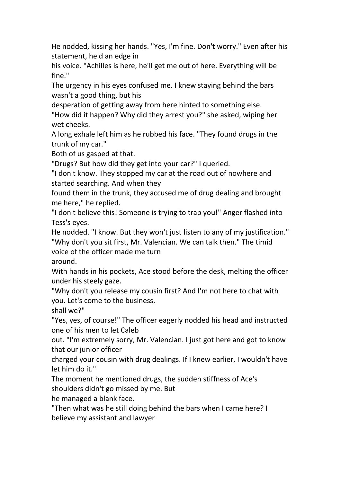He nodded, kissing her hands. "Yes, I'm fine. Don't worry." Even after his statement, he'd an edge in

his voice."Achilles is here, he'll get me out of here. Everything will be fine."

The urgency in his eyes confused me. I knew staying behind the bars wasn't a good thing, but his

desperation of getting away from here hinted to something else.

"How did it happen? Why did they arrest you?" she asked, wiping her wet cheeks.

A long exhale left him as he rubbed his face. "They found drugs in the trunk of my car."

Both of us gasped at that.

"Drugs? But how did they get into your car?" I queried.

"I don't know. They stopped my car at the road out of nowhere and started searching. And when they

found them in the trunk, they accused me of drug dealing and brought me here," he replied.

"I don't believe this! Someone is trying to trap you!" Anger flashed into Tess's eyes.

He nodded. "I know. But they won't just listen to any of my justification." "Why don't you sit first, Mr. Valencian. We can talk then." The timid

voice of the officer made me turn

around.

With hands in his pockets, Ace stood before the desk, melting the officer under his steely gaze.

"Why don't you release my cousin first? And I'm not here to chat with you. Let's come to the business,

shall we?"

"Yes, yes, of course!" The officer eagerly nodded his head and instructed one of his men to let Caleb

out. "I'm extremely sorry, Mr. Valencian. I just got here and got to know that our junior officer

charged your cousin with drug dealings. If I knew earlier, I wouldn't have let him do it."

The moment he mentioned drugs, the sudden stiffness of Ace's shoulders didn't go missed by me. But

he managed a blank face.

"Then what was he still doing behind the barswhen I came here? I believe my assistant and lawyer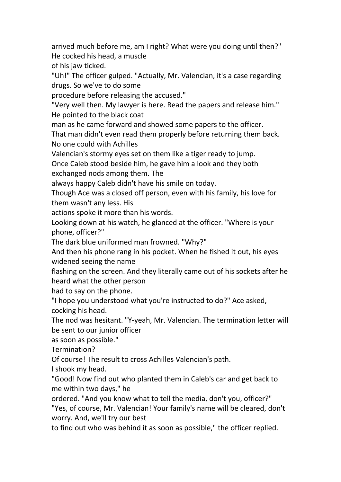arrived much before me, am I right? What were you doing until then?" He cocked his head, a muscle

of his jaw ticked.

"Uh!" The officer gulped. "Actually, Mr. Valencian, it's a case regarding drugs. So we've to do some

procedure before releasing the accused."

"Very well then. My lawyer is here. Read the papers and release him." He pointed to the black coat

man as he came forward and showed some papers to the officer.

That man didn't even read them properly before returning them back. No one could with Achilles

Valencian's stormy eyes set on them like a tiger ready to jump.

Once Caleb stood beside him, he gave him a look and they both exchanged nods among them. The

always happy Caleb didn't have his smile on today.

Though Ace was a closed off person, even with his family, his love for them wasn't any less. His

actions spoke it more than his words.

Looking down at his watch, he glanced at the officer. "Where is your phone, officer?"

The dark blue uniformed man frowned. "Why?"

And then his phone rang in his pocket. When he fished it out, his eyes widened seeing the name

flashing on the screen. And they literally came out of his sockets after he heard what the other person

had to say on the phone.

"I hope you understood what you're instructed to do?" Ace asked, cocking his head.

The nod was hesitant. "Y-yeah, Mr. Valencian. The termination letter will be sent to our junior officer

as soon as possible."

Termination?

Of course! The result to cross Achilles Valencian's path.

I shook my head.

"Good! Now find out who planted them in Caleb's car and get back to me within two days," he

ordered. "And you know what to tell the media, don't you, officer?" "Yes, of course, Mr. Valencian! Your family's name will be cleared, don't worry. And, we'll try our best

to find out who was behind it as soon as possible," the officer replied.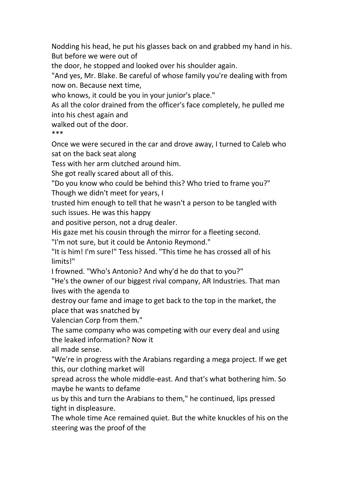Nodding his head, he put his glasses back on and grabbed my hand in his. But before we were out of

the door, he stopped and looked over his shoulder again.

"And yes, Mr. Blake. Be careful of whose family you're dealing with from now on. Because next time,

who knows, it could be you in your junior's place."

As all the color drained from the officer's face completely, he pulled me into his chest again and

walked out of the door.

\*\*\*

Once we were secured in the car and drove away, I turned to Caleb who sat on the back seat along

Tess with her arm clutched around him.<br>She got really scared about all of this.

"Do you know who could be behind this? Who tried to frame you?"

Though we didn't meet for years, I

trusted him enough to tell that he wasn't a person to be tangled with such issues. He was this happy

and positive person, not a drug dealer.

His gaze met his cousin through the mirror for a fleeting second.

"I'm not sure, but it could be Antonio Reymond."

"It is him! I'm sure!" Tess hissed. "This time he has crossed all of his limits!"

I frowned. "Who's Antonio? And why'd he do that to you?"

"He's the owner of our biggest rival company, AR Industries. That man lives with the agenda to

destroy our fame and image to get back to the top in the market, the place that was snatched by

Valencian Corp from them."

The same company who was competing with our every deal and using the leaked information? Now it

all made sense.

"We're in progress with the Arabians regarding a mega project. If we get this, our clothing market will

spread across the whole middle-east. And that'swhat bothering him. So maybe he wants to defame

us by this and turn the Arabians to them," he continued, lips pressed tight in displeasure.

The whole time Ace remained quiet. But the white knuckles of his on the steering was the proof of the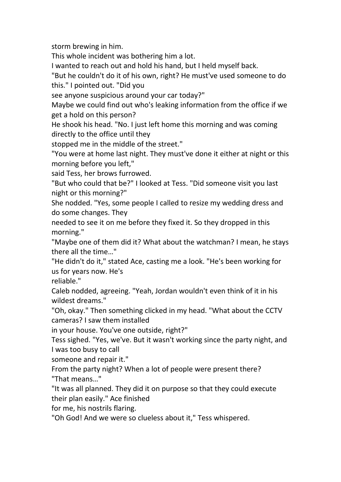storm brewing in him.

This whole incident was bothering him a lot.

I wanted to reach out and hold his hand, but I held myself back.<br>"But he couldn't do it of his own, right? He must've used someone to do this." I pointed out. "Did you

see anyone suspicious around your car today?"

Maybe we could find out who's leaking information from the office if we get a hold on this person?

He shook his head."No. I just left home this morning and was coming directly to the office until they

stopped me in the middle of the street."

"You were at home last night. They must've done it either at night or this morning before you left,"

said Tess, her brows furrowed.

"But who could that be?" I looked at Tess. "Did someone visit you last night or this morning?"

She nodded. "Yes, some people I called to resize my wedding dress and do some changes. They

needed to see it on me before they fixed it. So they dropped in this morning."

"Maybe one of them did it? What about the watchman? I mean, he stays there all the time…"

"He didn't do it," stated Ace, casting me a look. "He's been working for us for years now. He's

reliable."

Caleb nodded, agreeing. "Yeah, Jordan wouldn't even think of it in his wildest dreams."

"Oh, okay." Then something clicked in my head. "What about the CCTV cameras? I saw them installed

in your house. You've one outside, right?"

Tess sighed. "Yes, we've. But it wasn't working since the party night, and I was too busy to call

someone and repair it."

From the party night? When a lot of people were present there? "That means…"

"It was all planned. They did it on purpose so that they could execute their plan easily." Ace finished

for me, his nostrils flaring.

"Oh God! And we were so clueless about it," Tess whispered.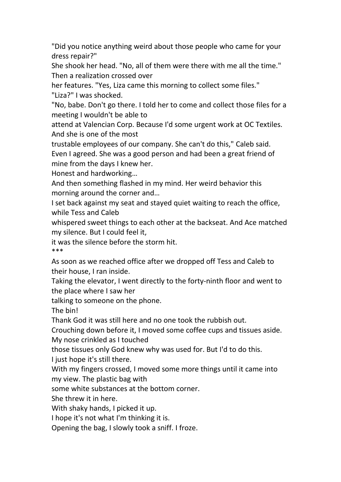"Did you notice anything weird about those people who came for your dress repair?"

She shook her head. "No, all of them were there with me all the time." Then a realization crossed over

her features. "Yes, Liza came this morning to collect some files." "Liza?" I was shocked.

"No, babe. Don't go there. I told her to come and collect those files for a meeting I wouldn't be able to

attend at Valencian Corp. Because I'd some urgent work at OC Textiles. And she is one of the most

trustable employees of our company. She can't do this," Caleb said. Even I agreed. She was a good person and had been a great friend of mine from the days I knew her.

Honest and hardworking…

And then something flashed in my mind. Her weird behavior this morning around the corner and…

I set back against my seat and stayed quiet waiting to reach the office, while Tess and Caleb

whispered sweet things to each other at the backseat. And Ace matched my silence. But I could feel it,

it was the silence before the storm hit. \*\*\*

As soon as we reached office after we dropped off Tess and Caleb to their house, I ran inside.

Taking the elevator, I went directly to the forty-ninth floor and went to the place where I saw her

talking to someone on the phone.

The bin!

Thank God it was still here and no one took the rubbish out.

Crouching down before it, I moved some coffee cups and tissues aside.<br>My nose crinkled as I touched

those tissues only God knew why was used for. But I'd to do this.

I just hope it's still there.

With my fingers crossed, I moved some more things until it came into my view. The plastic bag with

some white substances at the bottom corner.

She threw it in here.

With shaky hands, I picked it up.

I hope it's not what I'm thinking it is.

Opening the bag, I slowly took a sniff. I froze.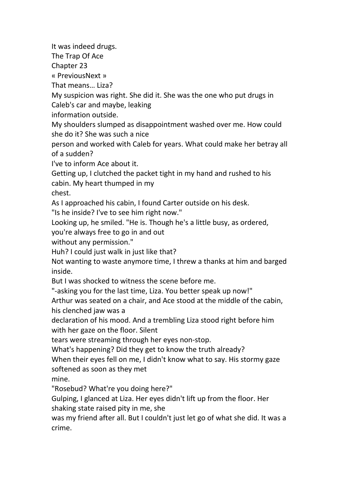It was indeed drugs.

The Trap Of Ace

Chapter 23

« PreviousNext »

That means… Liza?

My suspicion was right. She did it. She was the one who put drugs in Caleb's car and maybe, leaking

information outside.

My shoulders slumped as disappointment washed over me. How could she do it? She was such a nice

person and worked with Caleb for years. What could make her betray all of a sudden?

I've to inform Ace about it.

Getting up, I clutched the packet tight in my hand and rushed to his cabin. My heart thumped in my

chest.

As I approached his cabin, I found Carter outside on his desk.

"Is he inside? I've to see him right now."

Looking up, he smiled. "He is. Though he's a little busy, as ordered,

you're always free to go in and out

without any permission."

Huh? I could just walk in just like that?

Not wanting to waste anymore time, I threw a thanks at him and barged inside.

But I was shocked to witness the scene before me.<br>"-asking you for the last time, Liza. You better speak up now!"

Arthur was seated on a chair, and Ace stood at the middle of the cabin, his clenched jaw was a

declaration of his mood. And a trembling Liza stood right before him with her gaze on the floor. Silent

tears were streaming through her eyes non-stop.

What's happening? Did they get to know the truth already?

When their eyes fell on me, I didn't know what to say. His stormy gaze softened as soon as they met

mine.

"Rosebud? What're you doing here?"

Gulping, I glanced at Liza. Her eyes didn't lift up from the floor. Her shaking state raised pity in me, she

was my friend after all. But I couldn't just let go of what she did. It was a crime.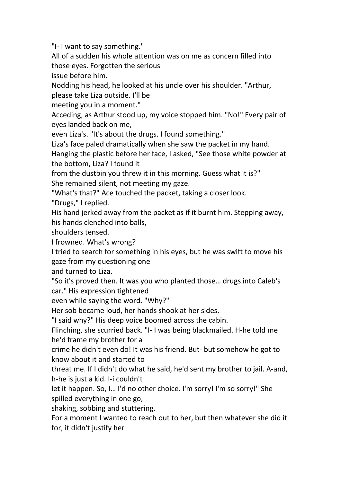"I- I want to say something."

All of a sudden his whole attention was on me as concern filled into those eyes. Forgotten the serious

issue before him.

Nodding his head, he looked at his uncle over his shoulder. "Arthur,

please take Liza outside. I'll be

meeting you in a moment."

Acceding, as Arthur stood up, my voice stopped him. "No!" Every pair of eyes landed back on me,

even Liza's. "It's about the drugs. I found something."

Liza's face paled dramatically when she saw the packet in my hand.

Hanging the plastic before her face, I asked, "See those white powder at the bottom, Liza? I found it

from the dustbin you threw it in this morning. Guess what it is?" She remained silent, not meeting my gaze.

"What's that?" Ace touched the packet, taking a closer look.

"Drugs," I replied.

His hand jerked away from the packet as if it burnt him. Stepping away, his hands clenched into balls,

shoulders tensed.

I frowned. What's wrong?

I tried to search for something in his eyes, but he was swift to move his gaze from my questioning one

and turned to Liza.

"So it's proved then. It was you who planted those… drugs into Caleb's car." His expression tightened

even while saying the word."Why?"

Her sob became loud, her hands shook at her sides.

"I said why?" His deep voice boomed across the cabin.

Flinching, she scurried back. "I- I was being blackmailed. H-he told me he'd frame my brother for a

crime he didn't even do! It was his friend. But- but somehow he got to know about it and started to

threat me. If I didn't do what he said, he'd sent my brother to jail. A-and, h-he is just a kid. I-i couldn't

let it happen. So, I… I'd no other choice. I'm sorry! I'm so sorry!" She spilled everything in one go,<br>shaking, sobbing and stuttering.

For a moment I wanted to reach out to her, but then whatever she did it for, it didn't justify her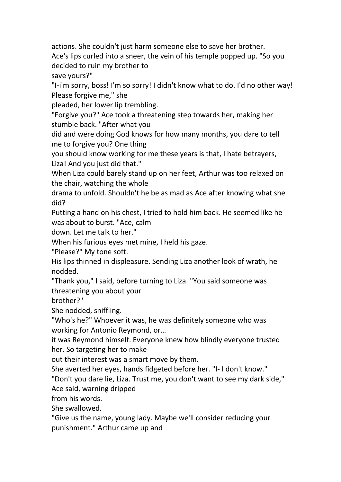actions. She couldn't just harm someone else to save her brother. Ace's lips curled into a sneer, the vein of his temple popped up. "So you decided to ruin my brother to

save yours?"

"I-i'm sorry, boss! I'm so sorry! I didn't know what to do. I'd no other way! Please forgive me," she

pleaded, her lower lip trembling.

"Forgive you?" Ace took a threatening step towards her, making her stumble back. "After what you

did and were doing God knows for how many months, you dare to tell me to forgive you? One thing

you should know working for me these years is that, I hate betrayers, Liza! And you just did that."

When Liza could barely stand up on her feet, Arthur was too relaxed on the chair, watching the whole

drama to unfold. Shouldn't he be as mad as Ace after knowing what she did?

Putting a hand on his chest, I tried to hold him back. He seemed like he was about to burst. "Ace, calm

down. Let me talk to her."

When his furious eyes met mine, I held his gaze.

"Please?" My tone soft.

His lips thinned in displeasure. Sending Liza another look of wrath, he nodded.

"Thank you," I said, before turning to Liza. "You said someone was threatening you about your

brother?"

She nodded, sniffling.

"Who's he?" Whoever it was, he was definitely someone who was working for Antonio Reymond, or…

it was Reymond himself. Everyone knew how blindly everyone trusted her. So targeting her to make

out their interest was a smart move by them.

She averted her eyes, hands fidgeted before her. "I- I don't know."

"Don't you dare lie, Liza. Trust me, you don't want to see my dark side,"

Ace said, warning dripped

from his words.

She swallowed.

"Give us the name, young lady. Maybe we'll consider reducing your punishment." Arthur came up and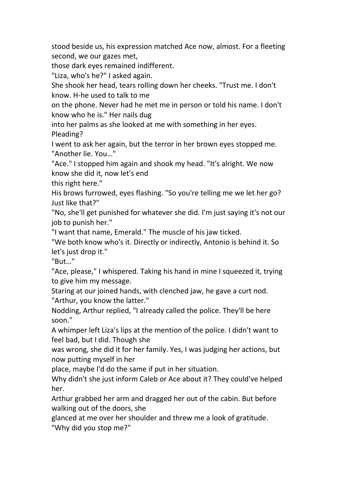stood beside us, his expression matched Ace now, almost. For a fleeting second, we our gazes met,

those dark eyes remained indifferent.

"Liza, who's he?" I asked again.

She shook her head, tears rolling down her cheeks. "Trust me. I don't know. H-he used to talk to me

on the phone. Never had he met me in person or told his name. I don't know who he is." Her nails dug

into her palms as she looked at me with something in her eyes. Pleading?

I went to ask her again, but the terror in her brown eyes stopped me. "Another lie. You…"

"Ace." I stopped him again and shook my head. "It's alright. We now know she did it, now let's end

this right here."

His brows furrowed, eyes flashing. "So you're telling me we let her go? Just like that?"

"No, she'll get punished for whatever she did. I'm just saying it's not our job to punish her."

"I want that name, Emerald." The muscle of his jaw ticked.

"We both know who's it. Directly or indirectly, Antonio is behind it. So let's just drop it."

"But…"

"Ace, please," I whispered. Taking his hand in mine I squeezed it, trying to give him my message.

Staring at our joined hands, with clenched jaw, he gave a curt nod. "Arthur, you know the latter."

Nodding, Arthur replied, "I already called the police. They'll be here soon."

A whimper left Liza's lips at the mention of the police. I didn't want to feel bad, but I did. Though she

was wrong, she did it for her family. Yes, I was judging her actions, but now putting myself in her

place, maybe I'd do the same if put in her situation.

Why didn't she just inform Caleb or Ace about it? They could've helped her.

Arthur grabbed her arm and dragged her out of the cabin. But before walking out of the doors, she

glanced at me over her shoulder and threw me a look of gratitude.

"Why did you stop me?"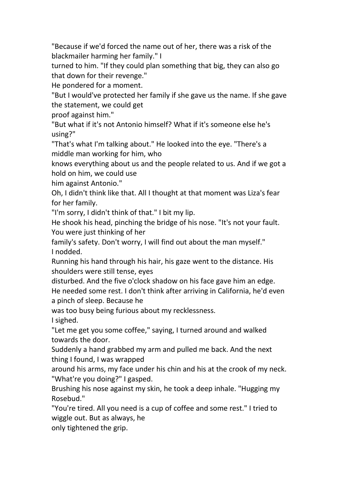"Because if we'd forced the name out of her, there was a risk of the blackmailer harming her family." I

turned to him. "If they could plan something that big, they can also go that down for their revenge."

He pondered for a moment.

"But I would've protected her family if she gave us the name. If she gave the statement, we could get

proof against him."

"But what if it's not Antonio himself? What if it's someone else he's using?"

"That's what I'm talking about." He looked into the eye. "There's a middle man working for him, who

knows everything about us and the people related to us. And if we got a hold on him, we could use

him against Antonio."

Oh, I didn't think like that. All I thought at that moment was Liza's fear for her family.

"I'm sorry, I didn't think of that." I bit my lip.

He shook his head, pinching the bridge of his nose. "It's not your fault. You were just thinking of her

family's safety. Don't worry, I will find out about the man myself." I nodded.

Running his hand through his hair, his gaze went to the distance. His shoulders were still tense, eyes

disturbed. And the five o'clock shadow on his face gave him an edge. He needed some rest. I don't think after arriving in California, he'd even a pinch of sleep. Because he

was too busy being furious about my recklessness.

I sighed.

"Let me get you some coffee," saying, I turned around and walked towards the door.

Suddenly a hand grabbed my arm and pulled me back. And the next thing I found, I was wrapped

around his arms, my face under his chin and his at the crook of my neck. "What're you doing?" I gasped.

Brushing his nose against my skin, he took a deep inhale. "Hugging my Rosebud."

"You're tired. All you need is a cup of coffee and some rest." I tried to wiggle out. But as always, he

only tightened the grip.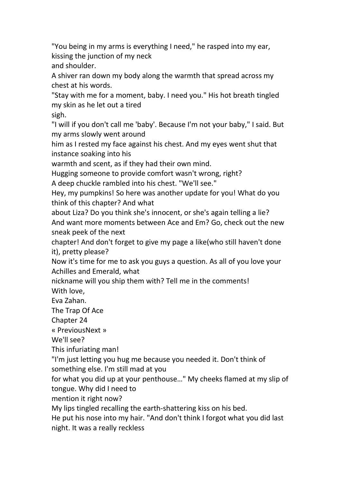"You being in my arms is everything I need," he rasped into my ear, kissing the junction of my neck and shoulder.

A shiver ran down my body along the warmth that spread across my chest at his words.

"Stay with me for a moment, baby. I need you." His hot breath tingled my skin as he let out a tired

sigh.

"I will if you don't call me 'baby'. Because I'm not your baby," I said. But my arms slowly went around

him as I rested my face against his chest. And my eyes went shut that instance soaking into his

warmth and scent, as if they had their own mind.

Hugging someone to provide comfort wasn't wrong, right?

A deep chuckle rambled into his chest."We'll see."

Hey, my pumpkins! So here was another update for you! What do you think of this chapter? And what

about Liza? Do you think she's innocent, or she's again telling a lie? And want more moments between Ace and Em? Go, check out the new sneak peek of the next

chapter! And don't forget to give my page a like(who still haven't done it), pretty please?

Now it's time for me to ask you guys a question. As all of you love your Achilles and Emerald, what

nickname will you ship them with? Tell me in the comments!

With love,

Eva Zahan.

The Trap Of Ace

Chapter 24

« PreviousNext »

We'll see?

This infuriating man!

"I'm just letting you hug me because you needed it. Don't think of something else. I'm still mad at you

for what you did up at your penthouse…" My cheeks flamed at my slip of tongue. Why did I need to

mention it right now?

My lips tingled recalling the earth-shattering kiss on his bed.

He put his nose into my hair. "And don't think I forgot what you did last night. It was a really reckless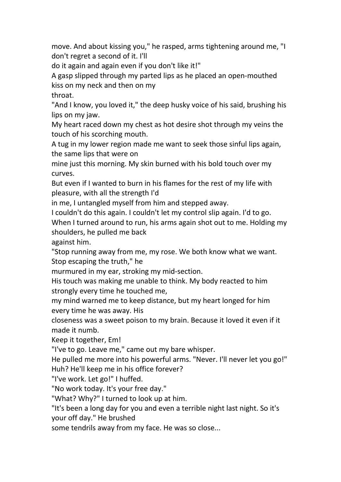move. And about kissing you," he rasped, arms tightening around me, "I don't regret a second of it.I'll

do it again and again even if you don't like it!"

A gasp slipped through my parted lips as he placed an open-mouthed kiss on my neck and then on my

throat.

"And I know, you loved it," the deep husky voice of his said, brushing his lips on my jaw.

My heart raced down my chest as hot desire shot through my veins the touch of his scorching mouth.

A tug in my lower region made me want to seek those sinful lips again, the same lips that were on

mine just this morning. My skin burned with his bold touch over my curves.

But even if I wanted to burn in his flames for the rest of my life with pleasure, with all the strength I'd

in me, I untangled myself from him and stepped away.

I couldn't do this again. I couldn't let my control slip again. I'd to go.

When I turned around to run, his arms again shot out to me. Holding my shoulders, he pulled me back

against him.

"Stop running away from me, my rose. We both know what we want. Stop escaping the truth," he

murmured in my ear, stroking my mid-section.

His touch was making me unable to think. My body reacted to him strongly every time he touched me,

my mind warned me to keep distance, but my heart longed for him every time he was away. His

closeness was a sweet poison to my brain. Because it loved it even if it made it numb.

Keep it together, Em!

"I've to go. Leave me," came out my bare whisper.

He pulled me more into his powerful arms. "Never. I'll never let you go!" Huh? He'll keep me in his office forever?

"I've work. Let go!" I huffed.

"No work today. It's your free day."

"What? Why?" I turned to look up at him.

"It's been a long day for you and even a terrible night last night. So it's your off day." He brushed

some tendrils away from my face. He was so close...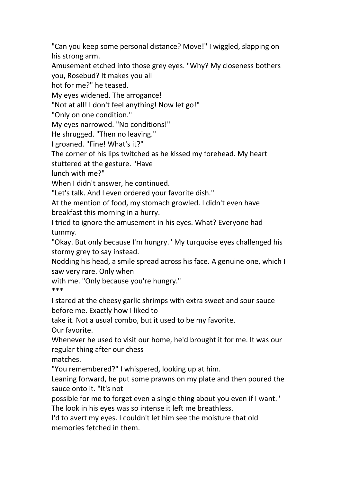"Can you keep some personal distance? Move!" I wiggled, slapping on his strong arm.

Amusement etched into those grey eyes. "Why? My closeness bothers you, Rosebud? It makes you all

hot for me?" he teased.

My eyes widened. The arrogance!

"Not at all! I don't feel anything! Now let go!"

"Only on one condition."

My eyes narrowed. "No conditions!"

He shrugged. "Then no leaving."

I groaned. "Fine! What's it?"

The corner of his lips twitched as he kissed my forehead. My heart

stuttered at the gesture. "Have

lunch with me?"<br>When I didn't answer, he continued.

"Let's talk. And I even ordered your favorite dish."

At the mention of food, my stomach growled. I didn't even have breakfast this morning in a hurry.

I tried to ignore the amusement in his eyes. What? Everyone had tummy.

"Okay. But only because I'm hungry." My turquoise eyes challenged his stormy grey to say instead.

Nodding his head, a smile spread across his face. A genuine one, which I saw very rare. Only when

with me. "Only because you're hungry." \*\*\*

I stared at the cheesy garlic shrimps with extra sweet and sour sauce before me. Exactly how I liked to

take it. Not a usual combo, but it used to be my favorite.

Our favorite.

Whenever he used to visit our home, he'd brought it for me. It was our regular thing after our chess

matches.

"You remembered?" I whispered, looking up at him.

Leaning forward, he put some prawns on my plate and then poured the sauce onto it. "It's not

possible for me to forget even a single thing about you even if I want." The look in his eyes was so intense it left me breathless.

I'd to avert my eyes. I couldn't let him see the moisture that old memories fetched in them.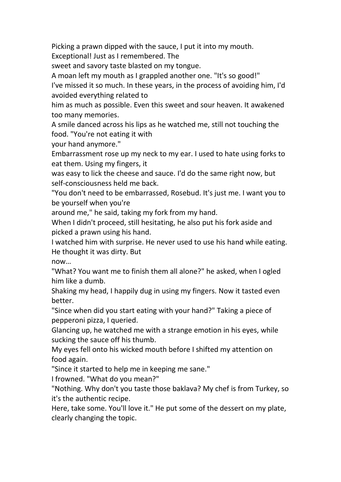Picking a prawn dipped with the sauce, I put it into my mouth.

Exceptional! Just as Iremembered. The

sweet and savory taste blasted on my tongue.

A moan left my mouth as I grappled another one. "It's so good!"

I've missed it so much. In these years, in the process of avoiding him, I'd avoided everything related to

him as much as possible. Even this sweet and sour heaven. It awakened too many memories.

A smile danced across his lips as he watched me, still not touching the food. "You're not eating it with

your hand anymore."

Embarrassment rose up my neck to myear. I used to hate using forks to eat them. Using my fingers, it

was easy to lick the cheese and sauce. I'd do the same right now, but self-consciousness held me back.

"You don't need to be embarrassed, Rosebud. It's just me. I want you to be yourself when you're

around me," he said, taking my fork from my hand.

When I didn't proceed, still hesitating, he also put his fork aside and picked a prawn using his hand.

I watched him with surprise. He never used to use his hand while eating. He thought it was dirty. But

now…

"What? You want me to finish them all alone?" he asked, when I ogled him like a dumb.

Shaking my head, I happily dug in using my fingers. Now it tasted even better.

"Since when did you start eating with your hand?" Taking a piece of pepperoni pizza, I queried.

Glancing up, he watched me with a strange emotion in his eyes, while sucking the sauce off his thumb.

My eyes fell onto his wicked mouth before I shifted my attention on food again.

"Since it started to help me in keeping me sane."

I frowned. "What do you mean?"

"Nothing. Why don't you taste those baklava? My chef is from Turkey, so it's the authentic recipe.

Here, take some. You'll love it." He put some of the dessert on my plate, clearly changing the topic.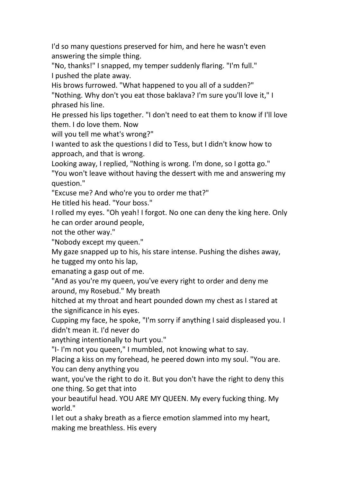I'd so many questions preserved for him, and here he wasn't even answering the simple thing.

"No, thanks!" I snapped, my temper suddenly flaring. "I'm full." I pushed the plate away.

His brows furrowed. "What happened to you all of a sudden?" "Nothing. Why don't you eat those baklava? I'm sure you'll love it," I phrased his line.

He pressed his lips together. "I don't need to eat them to know if I'll love them. I do love them. Now

will you tell me what's wrong?"

I wanted to ask the questions I did to Tess, but I didn't know how to approach, and that is wrong.

Looking away, I replied, "Nothing is wrong. I'm done, so I gotta go." "You won't leave without having the dessert with me and answering my question."

"Excuse me? And who're you to order me that?"

He titled his head. "Your boss."

I rolled my eyes. "Oh yeah! I forgot. No one can deny the king here. Only he can order around people,

not the other way."

"Nobody except my queen."

My gaze snapped up to his, his stare intense. Pushing the dishes away, he tugged my onto his lap,

emanating a gasp out of me.

"And as you're my queen, you've every right to order and deny me around, my Rosebud." My breath

hitched at my throat and heart pounded down my chest as I stared at the significance in his eyes.<br>Cupping my face, he spoke, "I'm sorry if anything I said displeased you. I

didn't mean it. I'd never do

anything intentionally to hurt you."

"I- I'm not you queen," I mumbled, not knowing what to say.

Placing a kiss on my forehead, he peered down into my soul. "You are. You can deny anything you

want, you've the right to do it. But you don't have the right to deny this one thing. So get that into

your beautiful head. YOU ARE MY QUEEN. My every fucking thing. My world."

I let out a shaky breath as a fierce emotion slammed into my heart, making me breathless. His every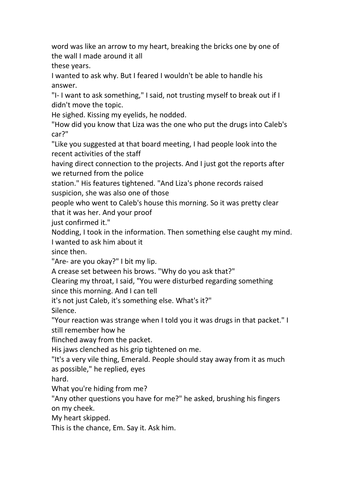word was like an arrow to my heart, breaking the bricks one by one of the wall I made around it all

these years.

I wanted to ask why. But I feared I wouldn't be able to handle his answer.

"I- I want to ask something," I said, not trusting myself to break out if I didn't move the topic.

He sighed. Kissing my eyelids, he nodded.

"How did you know that Liza was the one who put the drugs into Caleb's car?"

"Like you suggested at that board meeting, I had people look into the recent activities of the staff

having direct connection to the projects. And I just got the reports after we returned from the police

station." His features tightened. "And Liza's phone records raised suspicion, she was also one of those

people who went to Caleb's house this morning. So it was pretty clear that it was her. And your proof

just confirmed it."

Nodding, I took in the information. Then something else caught my mind. I wanted to ask him about it

since then.

"Are- are you okay?" I bit my lip.

A crease set between his brows. "Why do you ask that?"

Clearing my throat, I said, "You were disturbed regarding something since this morning. And I can tell

it's not just Caleb, it's something else. What's it?"

Silence.

"Your reaction was strange when I told you it was drugs in that packet." I still remember how he

flinched away from the packet.

His jaws clenched as his grip tightened on me.

"It's a very vile thing, Emerald. People should stay away from it as much as possible," he replied, eyes

hard.

What you're hiding from me?

"Any other questions you have for me?" he asked, brushing his fingers on my cheek.

My heart skipped.

This is the chance, Em. Say it. Ask him.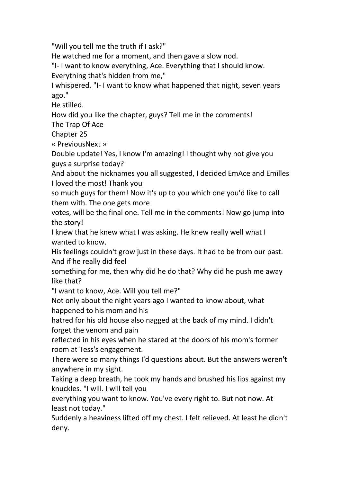"Will you tell me the truth if I ask?"

He watched me for a moment, and then gave a slow nod.

"I- I want to know everything, Ace. Everything that I should know. Everything that's hidden from me,"

I whispered. "I- I want to know what happened that night, seven years ago."

He stilled.

How did you like the chapter, guys? Tell me in the comments!

The Trap Of Ace

Chapter 25

« PreviousNext »

Double update! Yes, I know I'm amazing! I thought why not give you guys a surprise today?

And about the nicknames you all suggested, I decided EmAce and Emilles I loved the most! Thank you

so much guys for them! Now it's up to you which one you'd like to call them with. The one gets more

votes, will be the final one. Tell me in the comments! Now go jump into the story!

I knew that he knew what I was asking. He knew really well what I wanted to know.

His feelings couldn't grow just in these days. It had to be from our past. And if he really did feel

something for me, then why did he do that? Why did he push me away like that?

"I want to know, Ace. Will you tell me?"

Not only about the night years ago I wanted to know about, what happened to his mom and his

hatred for his old house also nagged at the back of my mind. I didn't forget the venom and pain

reflected in his eyes when he stared at the doors of his mom's former room at Tess's engagement.

There were so many things I'd questions about. But the answers weren't anywhere in my sight.

Taking a deep breath, he took my hands and brushed his lips against my knuckles. "I will. I will tell you

everything you want to know. You've every right to. But not now. At least not today."

Suddenly a heaviness lifted off my chest. I felt relieved. At least he didn't deny.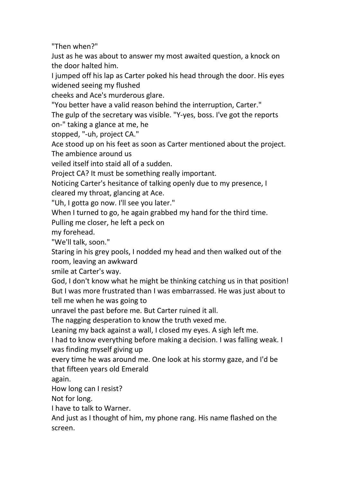"Then when?"

Just as he was about to answer my mostawaited question, a knock on the door halted him.

I jumped off his lap as Carter poked his head through the door. His eyes widened seeing my flushed

cheeks and Ace's murderous glare.

"You better have a valid reason behind the interruption, Carter."

The gulp of the secretary was visible. "Y-yes, boss. I've got the reports on-" taking a glance at me, he

stopped, "-uh, project CA."

Ace stood up on his feet as soon as Carter mentioned about the project. The ambience around us

veiled itself into staid all of a sudden.

Project CA? It must be something really important.

Noticing Carter's hesitance of talking openly due to my presence, I cleared my throat, glancing at Ace.

"Uh, I gotta go now. I'll see you later."

When I turned to go, he again grabbed my hand for the third time.

Pulling me closer, he left a peck on

my forehead.

"We'll talk, soon."

Staring in his grey pools, I nodded my head and then walked out of the room, leaving an awkward

smile at Carter's way.

God, I don't know what he might be thinking catching us in that position! But I was more frustrated than I was embarrassed. He was just about to tell me when he was going to

unravel the past before me. But Carter ruined it all.

The nagging desperation to know the truth vexed me.

Leaning my back against a wall, I closed my eyes. A sigh left me.

I had to know everything before making a decision. I was falling weak. I was finding myself giving up

every time he was around me. One look at his stormy gaze, and I'd be that fifteen years old Emerald

again.

How long can I resist?

Not for long.

I have to talk to Warner.

And just as Ithought of him, my phone rang. His name flashed on the screen.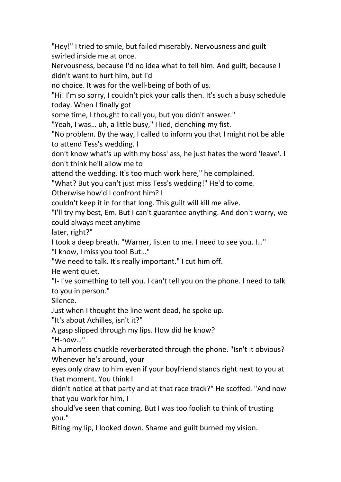"Hey!" I tried to smile, but failed miserably. Nervousness and guilt swirled inside me at once.

Nervousness, because I'd no idea what to tell him. And guilt, because I didn't want to hurt him, but I'd

no choice. It was for the well-being of both of us.

"Hi! I'm so sorry, I couldn't pick your calls then. It's such a busy schedule today. When I finally got

some time, I thought to call you, but you didn't answer."

"Yeah, I was… uh, a little busy," I lied, clenching my fist.

"No problem. By the way, I called to inform you that I might not be able to attend Tess's wedding. I

don't know what's up with my boss' ass, he just hates the word 'leave'. I don't think he'll allow me to

attend the wedding. It's too much work here," he complained.

"What? But you can't just miss Tess's wedding!" He'd to come.

Otherwise how'd I confront him? I

couldn't keep it in for that long. This guilt will kill me alive.

"I'll try my best, Em. But I can't guarantee anything. And don't worry, we could always meet anytime

later, right?"

I took a deep breath. "Warner, listen to me. I need to see you. I…"

"I know, I miss you too! But…"

"We need to talk. It's really important." I cut him off.

He went quiet.

"I- I've something to tell you. I can't tell you on the phone. I need to talk to you in person."

Silence.

Just when I thought the line went dead, he spoke up.

"It's about Achilles, isn't it?"

A gasp slipped through my lips. How did he know? "H-how…"

A humorless chuckle reverberated through the phone. "Isn't it obvious? Whenever he's around, your

eyes only draw to him even if your boyfriend stands right next to you at that moment. You think I

didn't notice at that party and at that race track?" He scoffed. "And now that you work for him, I

should've seen that coming. But I was too foolish to think of trusting you."

Biting my lip, I looked down. Shame and guilt burned my vision.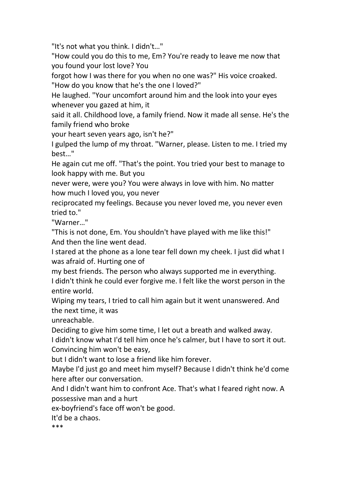"It's not what you think. I didn't…"

"How could you do this to me, Em? You're ready to leave me now that you found your lost love? You

forgot how I was there for you when no one was?" His voice croaked. "How do you know that he's the one I loved?"

He laughed. "Your uncomfort around him and the look into your eyes whenever you gazed at him, it

said it all. Childhood love, a family friend. Now it made all sense. He's the family friend who broke

your heart seven years ago, isn't he?"

I gulped the lump of my throat. "Warner, please. Listen to me. I tried my best…"

He again cut me off. "That's the point. You tried your best to manage to look happy with me. But you

never were, were you? You were always in love with him. No matter how much I loved you, you never

reciprocated my feelings. Because you never loved me, you never even tried to."

"Warner…"

"This is not done, Em. You shouldn't have played with me like this!" And then the line went dead.

I stared at the phone as a lone tear fell down my cheek. I just did what I was afraid of. Hurting one of

my best friends. The person who always supported me in everything. I didn't think he could ever forgive me. I felt like the worst person in the entire world.

Wiping my tears, I tried to call him again but it went unanswered. And the next time, it was

unreachable.

Deciding to give him some time, I let out a breath and walked away.

I didn't know what I'd tell him once he's calmer, but I have to sort it out. Convincing him won't be easy,

but I didn't want to lose a friend like him forever.

Maybe I'd just go and meet him myself? Because I didn't think he'd come here after our conversation.

And I didn't want him to confront Ace. That's what I feared right now. A possessive man and a hurt

ex-boyfriend's face off won't be good.

It'd be a chaos.

\*\*\*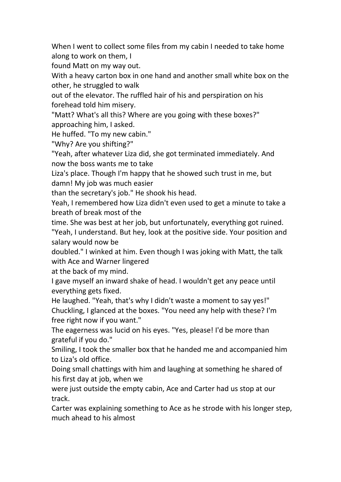When I went to collect some files from my cabin I needed to take home along to work on them, I

found Matt on my way out.<br>With a heavy carton box in one hand and another small white box on the other, he struggled to walk

out of the elevator. The ruffled hair of his and perspiration on his forehead told him misery.

"Matt? What's all this? Where are you going with these boxes?" approaching him, I asked.

He huffed. "To my new cabin."

"Why? Are you shifting?"

"Yeah, after whatever Liza did, she got terminated immediately. And now the boss wants me to take

Liza's place. Though I'm happy that he showed such trust in me, but damn! My job was much easier

than the secretary's job." He shook his head.

Yeah, I remembered how Liza didn't even used to get a minute to take a breath of break most of the

time. She was best at her job, but unfortunately, everything got ruined. "Yeah, I understand. But hey, look at the positive side. Your position and salary would now be

doubled." I winked at him. Even though I was joking with Matt, the talk with Ace and Warner lingered

at the back of my mind.

I gave myself an inward shake of head. I wouldn't get any peace until everything gets fixed.

He laughed. "Yeah, that's why I didn't waste a moment to say yes!" Chuckling, I glanced at the boxes. "You need any help with these? I'm free right now if you want."

The eagerness was lucid on his eyes. "Yes, please! I'd be more than grateful if you do."

Smiling, I took the smaller box that he handed me and accompanied him to Liza's old office.

Doing small chattings with him and laughing at something he shared of his first day at job, when we

were just outside the empty cabin, Ace and Carter had us stop at our track.

Carter was explaining something to Ace as he strode with his longer step, much ahead to his almost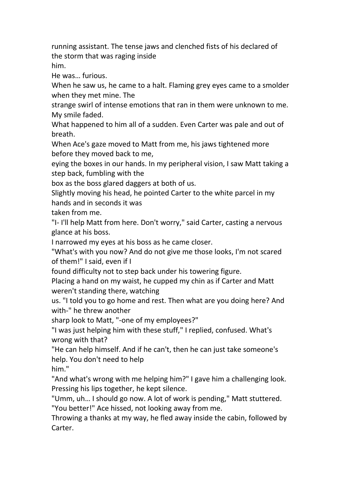running assistant. The tense jaws and clenched fists of his declared of the storm that was raging inside him.

He was… furious.

When he saw us, he came to a halt. Flaming grey eyes came to a smolder when they met mine. The

strange swirl of intense emotions that ran in them were unknown to me. My smile faded.

What happened to him all of a sudden. Even Carter was pale and out of breath.

When Ace's gaze moved to Matt from me, his jaws tightened more before they moved back to me,

eying the boxes in our hands. In my peripheral vision, I saw Matt taking a step back, fumbling with the

box as the boss glared daggers at both of us.

Slightly moving his head, he pointed Carter to the white parcel in my hands and in seconds it was

taken from me.

"I- I'll help Matt from here. Don't worry," said Carter, casting a nervous glance at his boss.

I narrowed my eyes at his boss as he came closer.

"What's with you now? And do not give me those looks, I'm not scared of them!" I said, even if I

found difficulty not to step back under his towering figure.

Placing a hand on my waist, he cupped my chin as if Carter and Matt weren't standing there, watching

us. "I told you to go home and rest. Then what are you doing here? And with-" he threw another

sharp look to Matt, "-one of my employees?"

"I was just helping him with these stuff," I replied, confused. What's wrong with that?

"He can help himself. And if he can't, then he can just take someone's help. You don't need to help

him."

"And what's wrong with me helping him?" I gave him a challenging look. Pressing his lips together, he kept silence.

"Umm, uh… I should go now. A lot of work is pending," Matt stuttered. "You better!" Ace hissed, not looking away from me.

Throwing a thanks at my way, he fled away inside the cabin, followed by Carter.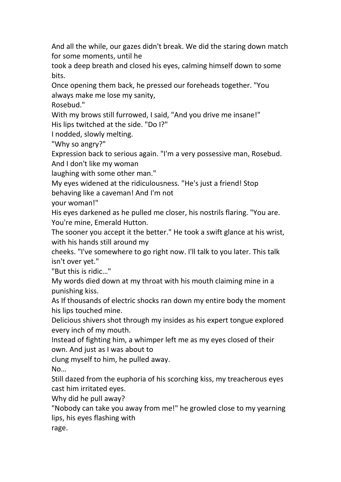And all the while, our gazes didn't break. We did the staring down match for some moments, until he

took a deep breath and closed his eyes, calming himself down to some bits.

Once opening them back, he pressed our foreheads together. "You always make me lose my sanity,

Rosebud."

With my brows still furrowed, I said, "And you drive me insane!"

His lips twitched at the side. "Do I?"

I nodded, slowly melting.

"Why so angry?"

Expression back to serious again."I'm a very possessive man, Rosebud. And I don't like my woman

laughing with some other man."

My eyes widened at the ridiculousness. "He's just a friend! Stop

behaving like a caveman! And I'm not

your woman!"

His eyes darkened as he pulled me closer, his nostrils flaring. "You are. You're mine, Emerald Hutton.

The sooner you accept it the better." He took a swift glance at his wrist, with his hands still around my

cheeks. "I've somewhere to go right now. I'll talk to you later. This talk isn't over yet."

"But this is ridic…"

My words died down at my throat with his mouth claiming mine in a punishing kiss.

As If thousands of electric shocks ran down my entire body the moment his lips touched mine.

Delicious shivers shot through my insides as his expert tongue explored every inch of my mouth.

Instead of fighting him, a whimper left me as my eyes closed of their own. And just as Iwas about to

clung myself to him, he pulled away.

No…

Still dazed from the euphoria of his scorching kiss, my treacherous eyes cast him irritated eyes.

Why did he pull away?

"Nobody can take you away from me!" he growled close to my yearning lips, his eyes flashing with

rage.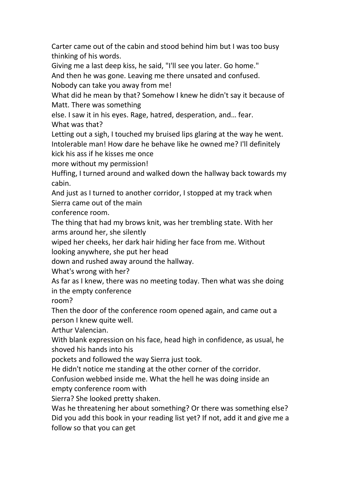Carter came out of the cabin and stood behind him but I was too busy thinking of his words.

Giving me a last deep kiss, he said,"I'll see you later. Go home."

And then he was gone. Leaving me there unsated and confused.

Nobody can take you away from me!

What did he mean by that? Somehow I knew he didn't say it because of Matt. There was something

else. I saw it in his eyes. Rage, hatred, desperation, and… fear.

What was that?

Letting out a sigh, I touched my bruised lips glaring at the way he went. Intolerable man! How dare he behave like he owned me? I'll definitely kick his ass if he kisses me once

more without my permission!

Huffing, I turned around and walked down the hallway back towards my cabin.

And just as I turned to another corridor, I stopped at my track when Sierra came out of the main

conference room.

The thing that had my brows knit, was her trembling state. With her arms around her, she silently

wiped her cheeks, her dark hair hiding her face from me. Without looking anywhere, she put her head

down and rushed away around the hallway.<br>What's wrong with her?

As far as I knew, there was no meeting today. Then what was she doing in the empty conference

room?

Then the door of the conference room opened again, and came out a person I knew quite well.

Arthur Valencian.

With blank expression on his face, head high in confidence, as usual, he shoved his hands into his

pockets and followed the way Sierra just took.

He didn't notice me standing at the other corner of the corridor.

Confusion webbed inside me. What the hell he was doing inside an empty conference room with

Sierra? She looked pretty shaken.

Was he threatening her about something? Or there was something else? Did you add this book in your reading list yet? If not, add it and give me a follow so that you can get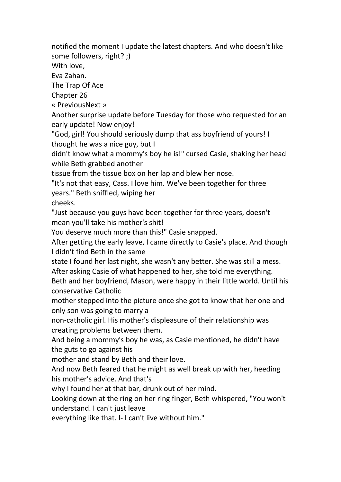notified the moment I update the latest chapters. And who doesn't like some followers, right? ;)

With love,

Eva Zahan.

The Trap Of Ace

Chapter 26

« PreviousNext »

Another surprise update before Tuesday for those who requested for an early update! Now enjoy!

"God, girl! You should seriously dump that ass boyfriend of yours! I thought he was a nice guy, but I

didn't know what a mommy's boy he is!" cursed Casie, shaking her head while Beth grabbed another

tissue from the tissue box on her lap and blew her nose.

"It's not that easy, Cass. I love him. We've been together for three years." Beth sniffled, wiping her

cheeks.

"Just because you guys have been together for three years, doesn't mean you'll take his mother's shit!

You deserve much more than this!" Casie snapped.

After getting the early leave, I came directly to Casie's place. And though I didn't find Beth in the same

state I found her last night, she wasn't any better. She was still a mess. After asking Casie of what happened to her, she told me everything.

Beth and her boyfriend, Mason, were happy in their little world. Until his conservative Catholic

mother stepped into the picture once she got to know that her one and only son was going to marry a

non-catholic girl. His mother's displeasure of their relationship was creating problems between them.

And being a mommy's boy he was, as Casie mentioned, he didn't have the guts to go against his

mother and stand by Beth and their love.

And now Beth feared that he might as well break up with her, heeding his mother's advice. And that's

why I found her at that bar, drunk out of her mind.

Looking down at the ring on her ring finger, Beth whispered, "You won't understand. I can't just leave

everything like that. I- I can't live without him."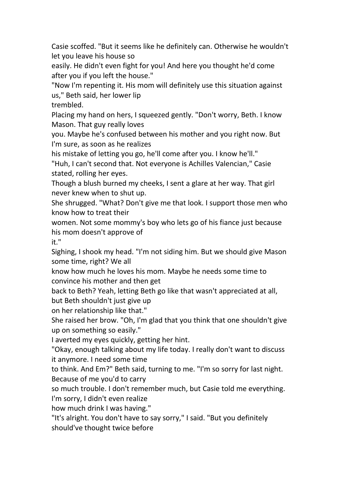Casie scoffed. "But it seems like he definitely can. Otherwise he wouldn't let you leave his house so

easily. He didn't even fight for you! And here you thought he'd come after you if you left the house."

"Now I'm repenting it. His mom will definitely use this situation against us," Beth said, her lower lip

trembled.

Placing my hand on hers, I squeezed gently. "Don't worry, Beth. I know Mason. That guy really loves

you. Maybe he's confused between his mother and you right now. But I'm sure, as soon as he realizes

his mistake of letting you go, he'll come after you. I know he'll."

"Huh, I can't second that. Not everyone is Achilles Valencian," Casie stated, rolling her eyes.

Though a blush burned my cheeks, Isent a glare at her way. That girl never knew when toshut up.

She shrugged. "What? Don't give me that look. I support those men who know how to treat their

women. Not some mommy's boy who lets go of his fiance just because his mom doesn't approve of

it."

Sighing, I shook my head. "I'm not siding him. But we should give Mason some time, right? We all

know how much he loves his mom. Maybe he needs some time to convince his mother and then get

back to Beth? Yeah, letting Beth go like that wasn't appreciated at all, but Beth shouldn't just give up

on her relationship like that."

She raised her brow. "Oh, I'm glad that you think that one shouldn't give up on something so easily."

I averted my eyes quickly, getting her hint.

"Okay, enough talking about my life today. I really don't want to discuss it anymore. I need some time

to think. And Em?" Beth said, turning to me. "I'm so sorry for last night. Because of me you'd to carry

so much trouble. I don't remember much, but Casie told me everything. I'm sorry, I didn't even realize

how much drink I was having."

"It's alright. You don't have to say sorry," I said. "But you definitely should've thought twice before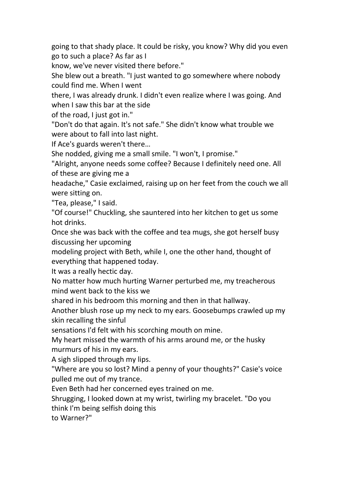going to that shady place. It could be risky, you know? Why did you even go to such a place? As far as I

know, we've never visited there before."

She blew out a breath. "I just wanted to go somewhere where nobody could find me. When I went

there, I was already drunk. I didn't even realize where I was going.And when I saw this bar at the side

of the road, I just got in."

"Don't do that again. It's not safe." She didn't know what trouble we were about to fall into last night.

If Ace's guards weren't there…

She nodded, giving me a small smile. "I won't, I promise."

"Alright, anyone needs some coffee? Because I definitely need one. All of these are giving me a

headache," Casie exclaimed, raising up on her feet from the couch we all were sitting on.

"Tea, please," I said.

"Of course!" Chuckling, she sauntered into her kitchen to get us some hot drinks.

Once she was back with the coffee and tea mugs, she got herself busy discussing her upcoming

modeling project with Beth, while I, one the other hand, thought of everything that happened today.

It was a really hectic day.

No matter how much hurting Warner perturbed me, my treacherous mind went back to the kiss we

shared in his bedroom this morning and then in that hallway.

Another blush rose up my neck to myears. Goosebumps crawled up my skin recalling the sinful

sensations I'd felt with his scorching mouth on mine.

My heart missed the warmth of his arms around me, or the husky murmurs of his in my ears.

A sigh slipped through my lips.

"Where are you so lost? Mind a penny of your thoughts?" Casie's voice pulled me out of my trance.

Even Beth had her concerned eyes trained on me.

Shrugging, I looked down at my wrist, twirling my bracelet."Do you

think I'm being selfish doing this

to Warner?"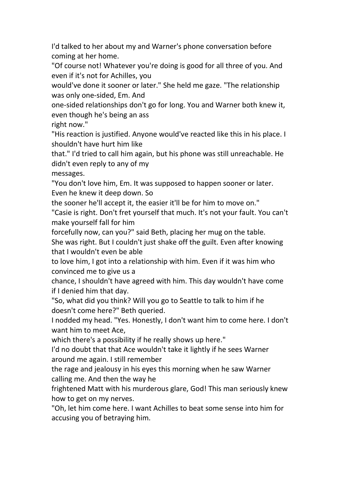I'd talked to her about my and Warner's phone conversation before coming at her home.

"Of course not! Whatever you're doing is good for all three of you. And even if it's not for Achilles, you

would've done it sooner or later." She held me gaze. "The relationship was only one-sided, Em. And

one-sided relationships don't go for long. You and Warner both knew it, even though he's being an ass

right now."

"His reaction is justified. Anyone would've reacted like this in his place. I shouldn't have hurt him like

that." I'd tried to call him again, but his phone was still unreachable. He didn't even reply to any of my

messages.

"You don't love him, Em. It was supposed to happen sooner or later. Even he knew it deep down. So

the sooner he'll accept it, the easier it'll be for him to move on."

"Casie is right. Don't fret yourself that much. It's not your fault. You can't make yourself fall for him

forcefully now, can you?" said Beth, placing her mug on the table.

She was right. But I couldn't just shake off the guilt. Even after knowing that I wouldn't even be able

to love him, I got into a relationship with him. Even if it was him who convinced me to give us a

chance, I shouldn't have agreed with him. This day wouldn't have come if I denied him that day.

"So, what did you think? Will you go to Seattle to talk to him if he doesn't come here?" Beth queried.

I nodded my head. "Yes. Honestly, I don't want him to come here. I don't want him to meet Ace,

which there's a possibility if he really shows up here."

I'd no doubt that that Ace wouldn't take it lightly if he sees Warner around me again. I still remember

the rage and jealousy in his eyes this morning when he saw Warner calling me. And then the way he

frightened Matt with his murderous glare, God! This man seriously knew how to get on my nerves.

"Oh, let him come here. I want Achilles to beat some sense into him for accusing you of betraying him.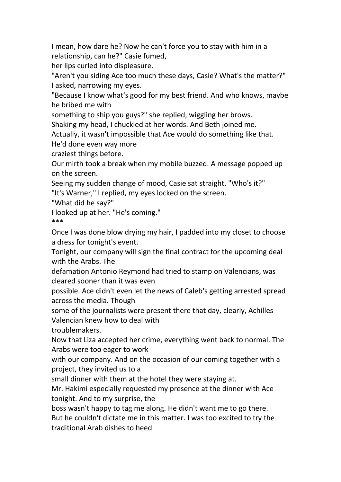I mean, how dare he? Now he can't force you to stay with him in a relationship, can he?" Casie fumed,

her lips curled into displeasure.

"Aren't you siding Ace too much these days, Casie? What's the matter?" I asked, narrowing my eyes.

"Because I know what's good for my best friend. And who knows, maybe he bribed me with

something to ship you guys?" she replied, wiggling her brows.

Shaking my head, I chuckled at her words. And Beth joined me.

Actually, it wasn't impossible that Ace would do something like that.

He'd done even way more

craziest things before.

Our mirth took a break when my mobile buzzed. A message popped up on the screen.

Seeing my sudden change of mood, Casie sat straight. "Who's it?" "It's Warner," I replied, my eyes locked on the screen.

"What did he say?"

I looked up at her. "He's coming." \*\*\*

Once I was done blow drying my hair, I padded into mycloset to choose a dress for tonight's event.

Tonight, our company will sign the final contract for the upcoming deal with the Arabs. The

defamation Antonio Reymond had tried to stamp on Valencians, was cleared sooner than it was even

possible. Ace didn't even let the news of Caleb's getting arrested spread across the media. Though

some of the journalists were present there that day, clearly, Achilles Valencian knew how to deal with

troublemakers.

Now that Liza accepted her crime, everything went back to normal. The Arabs were too eager to work

with our company. And on the occasion of our coming together with a project, they invited us to a

small dinner with them at the hotel they were staying at.

Mr. Hakimi especially requested my presence at the dinner with Ace tonight. And to my surprise, the

boss wasn't happy to tag me along. He didn't want me to go there. But he couldn't dictate me in this matter. I was too excited to try the traditional Arab dishes to heed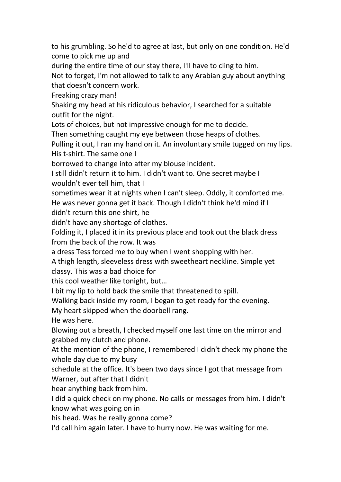to his grumbling. So he'd to agree at last, but only on one condition. He'd come to pick me up and

during the entire time of our stay there, I'll have to cling to him.<br>Not to forget, I'm not allowed to talk to any Arabian guy about anything that doesn't concern work.

Freaking crazy man!

Shaking my head at his ridiculous behavior, I searched for a suitable outfit for the night.

Lots of choices, but not impressive enough for me to decide.

Then something caught my eye between those heaps of clothes.

Pulling it out, I ran my hand on it. An involuntary smile tugged on my lips. His t-shirt. The same one I

borrowed to change into after my blouse incident.

I still didn't return it to him. I didn't want to. One secret maybe I wouldn't ever tell him, that I

sometimes wear it at nights when I can't sleep. Oddly, it comforted me. He was never gonna get it back. Though I didn't think he'd mind if I didn't return this one shirt, he

didn't have any shortage of clothes.

Folding it, I placed it in its previous place and took out the black dress from the back of the row. It was

a dress Tess forced me to buy when I went shopping with her.

A thigh length, sleeveless dress with sweetheart neckline. Simple yet classy. This was a bad choice for

this cool weather like tonight, but…

I bit my lip to hold back the smile that threatened to spill.

Walking back inside my room, I began to get ready for the evening.

My heart skipped when the doorbell rang.

He was here.

Blowing out a breath, I checked myself one last time on the mirror and grabbed my clutch and phone.

At the mention of the phone, I remembered I didn't check my phone the whole day due to my busy

schedule at the office. It's been two days since I got that message from Warner, but after that I didn't

hear anything back from him.

I did a quick check on my phone. No calls or messages from him. I didn't know what was going on in

his head. Was he really gonna come?

I'd call him again later. I have to hurry now. He was waiting for me.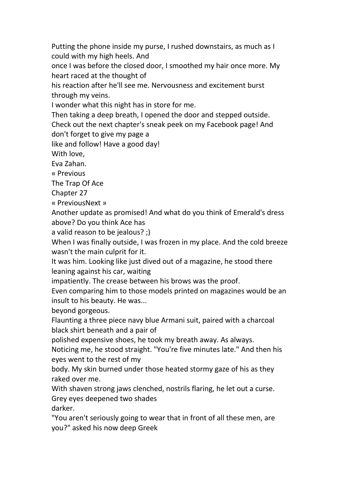Putting the phone inside my purse, I rushed downstairs, as much as I could with my high heels. And

once I was before the closed door, I smoothed my hair once more. My heart raced at the thought of

his reaction after he'll see me. Nervousness and excitement burst through my veins.

I wonder what this night has in store for me.<br>Then taking a deep breath, I opened the door and stepped outside. Check out the next chapter's sneak peek on my Facebook page! And don't forget to give my page a

like and follow! Have a good day!

With love,

Eva Zahan.

« Previous

The Trap Of Ace

Chapter 27

« PreviousNext »

Another update as promised! And what do you think of Emerald's dress above? Do you think Ace has

a valid reason to be jealous? ;)

When I was finally outside, I was frozen in my place. And the cold breeze wasn't the main culprit for it.

It was him. Looking like just dived out of a magazine, he stood there leaning against his car, waiting

impatiently. The crease between his brows was the proof.

Even comparing him to those models printed on magazines would be an insult to his beauty. He was...

beyond gorgeous.

Flaunting a three piece navy blue Armani suit, paired with a charcoal black shirt beneath and a pair of

polished expensive shoes, he took my breath away. As always.

Noticing me, he stood straight. "You're five minutes late." And then his eyes went to the rest of my

body. My skin burned under those heated stormy gaze of his as they raked over me.

With shaven strong jaws clenched, nostrils flaring, he let out a curse. Grey eyes deepened two shades

darker.

"You aren't seriously going to wear that in front of all these men, are you?" asked his now deep Greek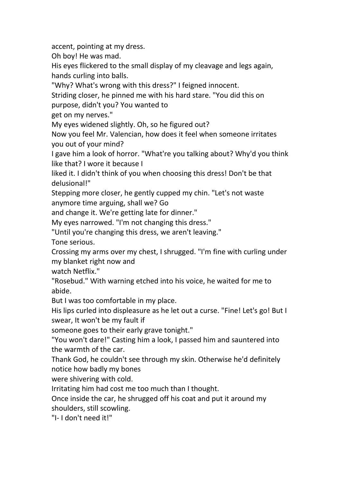accent, pointing at my dress.

Oh boy! He was mad.

His eyes flickered to the small display of my cleavage and legs again, hands curling into balls.

"Why? What's wrong with this dress?" I feigned innocent.

Striding closer, he pinned me with his hard stare. "You did this on

purpose, didn't you? You wanted to

get on my nerves."

My eyes widened slightly. Oh, so he figured out?

Now you feel Mr. Valencian, how does it feel when someone irritates you out of your mind?

I gave him a look of horror. "What're you talking about? Why'd you think like that? I wore it because I

liked it. I didn't think of you when choosing this dress! Don't be that delusional!"

Stepping more closer, he gently cupped my chin. "Let's not waste anymore time arguing, shall we? Go

and change it. We're getting late for dinner."

My eyes narrowed. "I'm not changing this dress."

"Until you're changing this dress, we aren't leaving."

Tone serious.

Crossing my arms over my chest, I shrugged. "I'm fine with curling under my blanket right now and

watch Netflix."

"Rosebud." With warning etched into his voice, he waited for me to abide.

But I was too comfortable in my place.

His lips curled into displeasure as he let out a curse. "Fine! Let's go! But I swear, It won't be my fault if

someone goes to their early grave tonight."

"You won't dare!" Casting him a look, I passed him and sauntered into the warmth of the car.

Thank God, he couldn't see through my skin. Otherwise he'd definitely notice how badly my bones

were shivering with cold.

Irritating him had cost me too much than I thought.

Once inside the car, he shrugged off his coat and put it around my shoulders, still scowling.

"I- I don't need it!"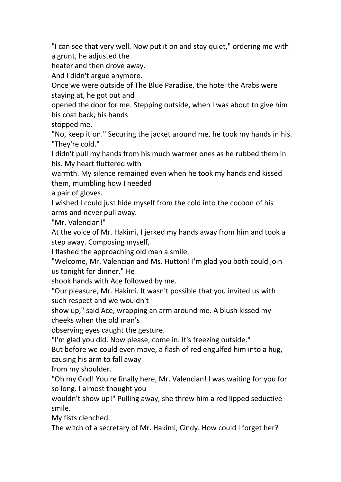"I can see that very well. Now put it on and stay quiet," ordering me with a grunt, he adjusted the

heater and then drove away.

And I didn't argue anymore.

Once we were outside of The Blue Paradise, the hotel the Arabs were staying at, he got out and

opened the door for me. Stepping outside, when I was about to give him his coat back, his hands

stopped me.

"No, keep it on." Securing the jacket around me, he took my hands in his. "They're cold."

I didn't pull my hands from his much warmer ones as he rubbed them in his. My heart fluttered with

warmth. My silence remained even when he took my hands and kissed them, mumbling how I needed

a pair of gloves.

I wished I could just hide myself from the cold into the cocoon of his arms and never pull away.

"Mr. Valencian!"

At the voice of Mr. Hakimi, I jerked my hands away from him and took a step away. Composing myself,

I flashed the approaching old man a smile.

"Welcome, Mr. Valencian and Ms. Hutton! I'm glad you both could join us tonight for dinner." He

shook hands with Ace followed by me.

"Our pleasure, Mr. Hakimi. It wasn't possible that you invited us with such respect and we wouldn't

show up," said Ace, wrapping an arm around me. A blush kissed my cheeks when the old man's

observing eyes caught the gesture.

"I'm glad you did. Now please, come in. It's freezing outside."

But before we could even move, a flash of red engulfed him into a hug, causing his arm to fall away

from my shoulder.

"Oh my God! You're finally here, Mr. Valencian! I was waiting for you for so long. I almost thought you

wouldn't show up!" Pulling away, she threw him a red lipped seductive smile.

My fists clenched.

The witch of a secretary of Mr. Hakimi, Cindy. How could I forget her?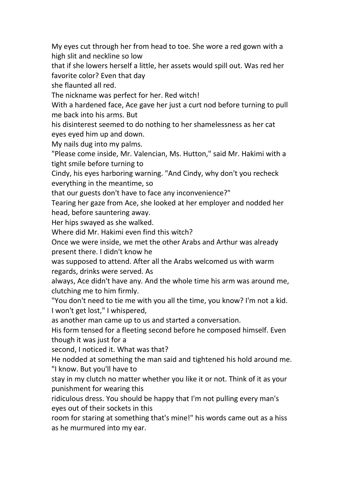My eyes cut through her from head to toe. She wore a red gown with a high slit and neckline so low

that if she lowers herself a little, her assets would spill out. Was red her favorite color? Even that day

she flaunted all red.

The nickname was perfect for her. Red witch!

With a hardened face, Ace gave her just a curt nod before turning to pull me back into his arms. But

his disinterest seemed to do nothing to her shamelessness as her cat eyes eyed him up and down.

My nails dug into my palms.

"Please come inside, Mr. Valencian, Ms. Hutton," said Mr. Hakimi with a tight smile before turning to

Cindy, his eyes harboring warning. "And Cindy, why don't you recheck everything in the meantime, so

that our guests don't have to face any inconvenience?"

Tearing her gaze from Ace, she looked at her employer and nodded her head, before sauntering away.

Her hips swayed as she walked.

Where did Mr. Hakimi even find this witch?

Once we were inside, we met the other Arabs and Arthur was already present there. I didn't know he

was supposed to attend. After all the Arabs welcomed us with warm regards, drinks were served. As

always, Ace didn't have any. And the whole time his arm was around me, clutching me to him firmly.

"You don't need to tie me with you all the time, you know? I'm not a kid. I won't get lost," I whispered,

as another man came up to us and started a conversation.

His form tensed for a fleeting second before he composed himself. Even though it was just for a

second, I noticed it. What was that?

He nodded at something the man said and tightened his hold around me. "I know. But you'll have to

stay in my clutch no matter whether you like it or not. Think of it as your punishment for wearing this

ridiculous dress. You should be happy that I'm not pulling every man's eyes out of their sockets in this

room for staring at something that's mine!" his words came out as a hiss as he murmured into my ear.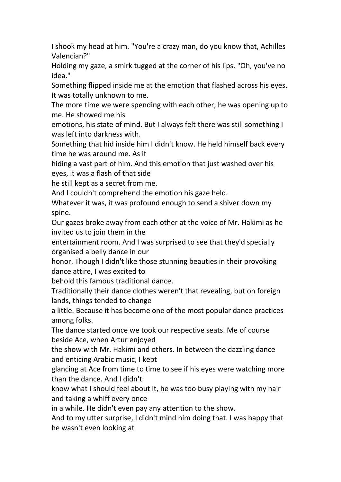I shook my head at him. "You're a crazy man, do you know that, Achilles Valencian?"

Holding my gaze, a smirk tugged at the corner of his lips. "Oh, you've no idea."

Something flipped inside me at the emotion that flashed across his eyes. It was totally unknown to me.

The more time we were spending with each other, he was opening up to me. He showed me his

emotions, his state of mind. But I always felt there was still something I was left into darkness with.

Something that hid inside him I didn't know. He held himself back every time he was around me. As if

hiding a vast part of him. And this emotion that just washed over his eyes, it was a flash of that side

he still kept as a secret from me.

And I couldn't comprehend the emotion his gaze held.

Whatever it was, it was profound enough to send a shiver down my spine.

Our gazes broke away from each other at the voice of Mr. Hakimi as he invited us to join them in the

entertainment room. And I was surprised to see that they'd specially organised a belly dance in our

honor. Though I didn't like those stunning beauties in their provoking dance attire, I was excited to

behold this famous traditional dance.

Traditionally their dance clothes weren't that revealing, but on foreign lands, things tended to change

a little. Because it has become one of the most popular dance practices among folks.

The dance started once we took our respective seats. Me of course beside Ace, when Artur enjoyed

the show with Mr. Hakimi and others. In between the dazzling dance and enticing Arabic music, I kept

glancing at Ace from time to time to see if his eyes were watching more than the dance. And I didn't

know what I should feel about it, he was too busy playing with my hair and taking a whiff every once

in a while. He didn't even pay any attention to the show.

And to my utter surprise, I didn't mind him doing that. I was happy that he wasn't even looking at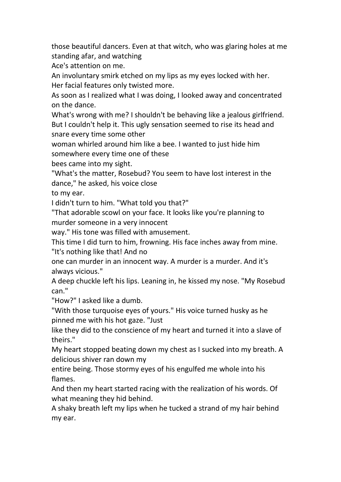those beautiful dancers. Even at that witch, who was glaring holes at me standing afar, and watching

Ace's attention on me.

An involuntary smirk etched on my lips as my eyes locked with her. Her facial features only twisted more.

As soon as I realized what I was doing, I looked away and concentrated on the dance.

What's wrong with me? I shouldn't be behaving like a jealous girlfriend. But I couldn't help it. This ugly sensation seemed to rise its head and snare every time some other

woman whirled around him like a bee. I wanted to just hide him somewhere every time one of these

bees came into my sight.

"What's the matter, Rosebud? You seem to have lost interest in the dance," he asked, his voice close

to my ear.

I didn't turn to him. "What told you that?"

"That adorable scowl on your face. It looks like you're planning to murder someone in a very innocent

way." His tone was filled with amusement.

This time I did turn to him, frowning. His face inches away from mine. "It's nothing like that! And no

one can murder in an innocent way. A murder is a murder. And it's always vicious."

A deep chuckle left his lips. Leaning in, he kissed my nose. "My Rosebud can."

"How?" I asked like a dumb.

"With those turquoise eyes of yours." His voice turned husky as he pinned me with his hot gaze. "Just

like they did to the conscience of my heart and turned it into a slave of theirs."

My heart stopped beating down my chest as I sucked into my breath. A delicious shiver ran down my

entire being. Those stormy eyes of his engulfed me whole into his flames.

And then my heart started racing with the realization of his words. Of what meaning they hid behind.

A shaky breath left my lips when he tucked a strand of my hair behind my ear.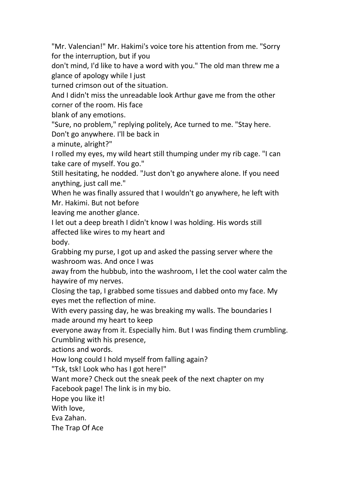"Mr. Valencian!" Mr. Hakimi's voice tore his attention from me. "Sorry for the interruption, but if you

don't mind, I'd like to have a word with you."The old man threw me a glance of apology while I just

turned crimson out of the situation.

And I didn't miss the unreadable look Arthur gave me from the other corner of the room. His face

blank of any emotions.

"Sure, no problem," replying politely, Ace turned to me. "Stay here. Don't go anywhere. I'll be back in

a minute, alright?"

I rolled my eyes, my wild heart still thumping under my rib cage. "I can take care of myself. You go."

Still hesitating, he nodded. "Just don't go anywhere alone. If you need anything, just call me."

When he was finally assured that I wouldn't go anywhere, he left with Mr. Hakimi. But not before

leaving me another glance.

I let out a deep breath I didn't know I was holding. His words still affected like wires to myheart and

body.

Grabbing my purse, I got up and asked the passing server where the washroom was. And once I was

away from the hubbub, into the washroom, I let the cool water calm the haywire of my nerves.

Closing the tap, I grabbed some tissues and dabbed onto myface. My eyes met the reflection of mine.

With every passing day, he was breaking my walls. The boundaries I made around my heart to keep

everyone away from it. Especially him. But I was finding them crumbling. Crumbling with his presence,

actions and words.

How long could I hold myself from falling again?

"Tsk, tsk! Look who has I got here!"

Want more? Check out the sneak peek of the next chapter on my Facebook page! The link is in my bio.

Hope you like it!

With love,

Eva Zahan.

The Trap Of Ace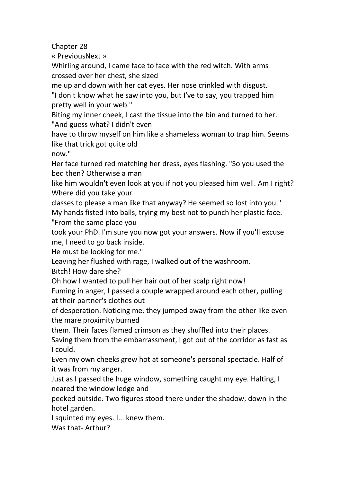Chapter 28

« PreviousNext »

Whirling around, I came face to face with the red witch. With arms crossed over her chest, she sized

me up and down with her cat eyes. Her nose crinkled with disgust.

"I don't know what he saw into you, but I've to say, you trapped him pretty well in your web."

Biting my inner cheek, I cast the tissue into the bin and turned to her. "And guess what? I didn't even

have to throw myself on him like a shameless woman to trap him. Seems like that trick got quite old

now."

Her face turned red matching her dress, eyes flashing. "So you used the bed then? Otherwise a man

like him wouldn't even look at you if not you pleased him well. Am I right? Where did you take your

classes to please a man like that anyway? He seemed so lost into you." My hands fisted into balls, trying my best not to punch her plastic face. "From the same place you

took your PhD. I'm sure you now got your answers. Now if you'll excuse me, I need to go back inside.

He must be looking for me."

Leaving her flushed with rage, I walked out of the washroom.

Bitch! How dare she?

Oh how I wanted to pull her hair out of her scalp right now!

Fuming in anger, I passed a couple wrapped around each other, pulling at their partner's clothes out

of desperation. Noticing me, they jumped away from the other like even the mare proximity burned

them. Their faces flamed crimson as they shuffled into their places. Saving them from the embarrassment, I got out of the corridor as fast as I could.

Even my own cheeks grew hot at someone's personal spectacle. Half of it was from my anger.

Just as Ipassed the huge window, something caught my eye. Halting, I neared the window ledge and

peeked outside. Two figures stood there under the shadow, down in the hotel garden.

I squinted my eyes. I... knew them.

Was that- Arthur?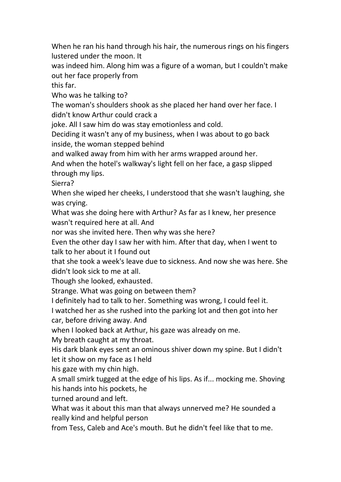When he ran his hand through his hair, the numerous rings on his fingers lustered under the moon. It

was indeed him. Along him was a figure of a woman, but I couldn't make out her face properly from

this far.

Who was he talking to?

The woman's shoulders shook as she placed her hand over her face. I didn't know Arthur could crack a

joke. All I saw him do was stay emotionless and cold.

Deciding it wasn't any of my business, when I was about to go back inside, the woman stepped behind

and walked away from him with her arms wrapped around her.

And when the hotel's walkway's light fell on her face, a gasp slipped through my lips.

Sierra?

When she wiped her cheeks, I understood that she wasn't laughing, she was crying.

What was she doing here with Arthur? As far as I knew, her presence wasn't required here at all. And

nor was she invited here. Then why was she here?

Even the other day I saw her with him. After that day, when I went to talk to her about it I found out

that she took a week's leave due to sickness. And now she was here. She didn't look sick to me at all.

Though she looked, exhausted.

Strange. What was going on between them?

I definitely had to talk to her. Something was wrong, I could feel it.

I watched her as she rushed into the parking lot and then got into her car, before driving away. And

when I looked back at Arthur, his gaze was already on me.

My breath caught at my throat.

His dark blank eyes sent an ominous shiver down my spine. But I didn't let it show on my face as I held

his gaze with my chin high.

A small smirk tugged at the edge of his lips. As if... mocking me. Shoving his hands into his pockets, he

turned around and left.

What was it about this man that always unnerved me? He sounded a really kind and helpful person

from Tess, Caleb and Ace's mouth. But he didn't feel like that to me.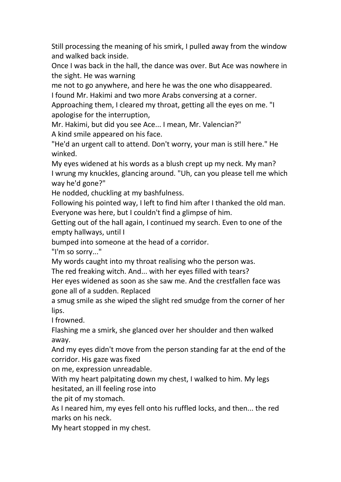Still processing the meaning of his smirk, I pulled away from the window and walked back inside.

Once I was back in the hall, the dance was over. But Ace was nowhere in the sight. He was warning

me not to go anywhere, and here he was the one who disappeared.

I found Mr. Hakimi and two more Arabs conversing at a corner.

Approaching them, I cleared my throat, getting all the eyes on me. "I apologise for the interruption,

Mr. Hakimi, but did you see Ace... I mean, Mr. Valencian?"

A kind smile appeared on his face.

"He'd an urgent call to attend. Don't worry, your man is still here." He winked.

My eyes widened at his words as a blush crept up my neck. My man? I wrung my knuckles, glancing around. "Uh, can you please tell me which way he'd gone?"

He nodded, chuckling at my bashfulness.

Following his pointed way, I left to find him after I thanked the old man. Everyone was here, but I couldn't find a glimpse of him.

Getting out of the hall again, I continued my search. Even to one of the empty hallways, until I

bumped into someone at the head of a corridor.

"I'm so sorry..."

My words caught into mythroat realising who the person was.

The red freaking witch. And... with her eyes filled with tears?

Her eyes widened as soon as she saw me. And the crestfallen face was gone all of a sudden. Replaced

a smug smile as she wiped the slight red smudge from the corner of her lips.

I frowned.

Flashing me a smirk, she glanced over her shoulder and then walked away.

And my eyes didn't move from the person standing far at the end of the corridor. His gaze was fixed

on me, expression unreadable.

With my heart palpitating down my chest, I walked to him. My legs hesitated, an ill feeling rose into

the pit of my stomach.

As I neared him, my eyes fell onto his ruffled locks, and then... the red marks on his neck.

My heart stopped in my chest.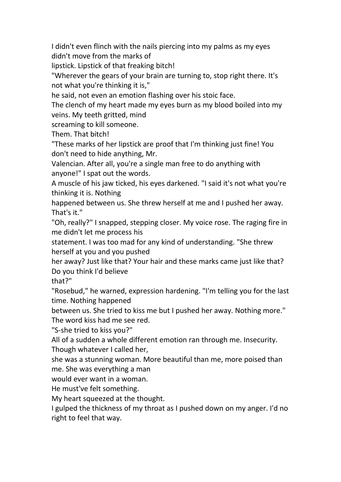I didn't even flinch with the nails piercing into my palms as my eyes didn't move from the marks of

lipstick. Lipstick of that freaking bitch!

"Wherever the gears of your brain are turning to, stop right there. It's not what you're thinking it is,"

he said, not even an emotion flashing over his stoic face.

The clench of my heart made my eyes burn as my blood boiled into my veins. My teeth gritted, mind

screaming to kill someone.

Them. That bitch!

"These marks of her lipstick are proof that I'm thinking just fine! You don't need to hide anything, Mr.

Valencian. After all, you're a single man free to do anything with anyone!" I spat out the words.

A muscle of his jaw ticked, his eyes darkened. "I said it's not what you're thinking it is. Nothing

happened between us. She threw herself at me and I pushed her away. That's it."

"Oh, really?" I snapped, stepping closer. My voice rose. The raging fire in me didn't let me process his

statement. I was too mad for any kind of understanding. "She threw herself at you and you pushed

her away? Just like that? Your hair and these marks came just like that? Do you think I'd believe

that?"

"Rosebud," he warned, expression hardening. "I'm telling you for the last time. Nothing happened

between us. She tried to kiss me but I pushed her away. Nothing more." The word kiss had me see red.

"S-she tried to kiss you?"

All of a sudden a whole different emotion ran through me. Insecurity. Though whatever I called her,

she was a stunning woman. More beautiful than me, more poised than me. She was everything a man

would ever want in a woman.

He must've felt something.

My heart squeezed at the thought.

I gulped the thickness of my throat as Ipushed down on my anger. I'd no right to feel that way.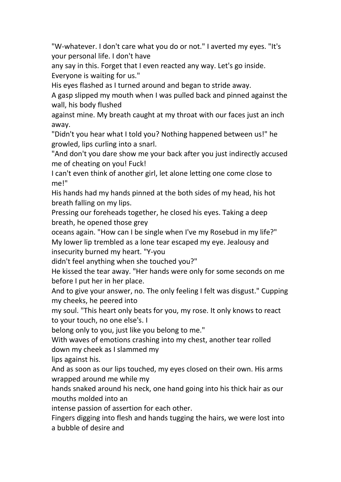"W-whatever. I don't care what you do or not." I averted my eyes. "It's your personal life. I don't have

any say in this. Forget that I even reacted any way. Let's go inside. Everyone is waiting for us."

His eyes flashed as I turned around and began to stride away.

A gasp slipped my mouth when I was pulled back and pinned against the wall, his body flushed

against mine. My breath caught at my throat with our faces just an inch away.

"Didn't you hear what I told you? Nothing happened between us!" he growled, lips curling into a snarl.

"And don't you dare show me your back after you just indirectly accused me of cheating on you! Fuck!

I can't even think of another girl, let alone letting one come close to me!"

His hands had my hands pinned at the both sides of my head, his hot breath falling on my lips.

Pressing our foreheads together, he closed his eyes. Taking a deep breath, he opened those grey

oceans again."How can I be single when I've my Rosebud in my life?" My lower lip trembled as a lone tear escaped my eye. Jealousy and insecurity burned my heart. "Y-you

didn't feel anything when she touched you?"

He kissed the tear away. "Her hands were only for some seconds on me before I put her in her place.

And to give your answer, no. The only feeling I felt was disgust." Cupping my cheeks, he peered into

my soul. "This heart only beats for you, my rose. It only knows to react to your touch, no one else's. I

belong only to you, just like you belong to me."

With waves of emotions crashing into my chest, another tear rolled down my cheek as I slammed my

lips against his.

And as soon as our lips touched, my eyes closed on their own. His arms wrapped around me while my

hands snaked around his neck, one hand going into his thick hair as our mouths molded into an

intense passion of assertion for each other.

Fingers digging into flesh and hands tugging the hairs, we were lost into a bubble of desire and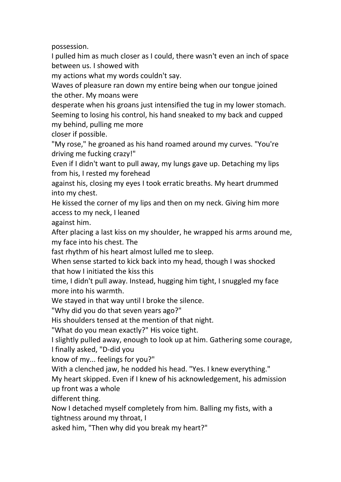possession.

I pulled him as much closer as I could, there wasn't even an inch of space between us. I showed with

my actions what my words couldn't say.

Waves of pleasure ran down my entire being when our tongue joined the other. My moans were

desperate when his groans just intensified the tug in my lower stomach. Seeming to losing his control, his hand sneaked to my back and cupped my behind, pulling me more

closer if possible.

"My rose," he groaned as his hand roamed around my curves. "You're driving me fucking crazy!"

Even if I didn't want to pull away, my lungs gave up. Detaching my lips from his, I rested my forehead

against his, closing my eyes I took erratic breaths. My heart drummed into my chest.

He kissed the corner of my lips and then on my neck. Giving him more access to my neck, I leaned

against him.

After placing a last kiss on my shoulder, he wrapped his arms around me, my face into his chest.The

fast rhythm of his heart almost lulled me to sleep.

When sense started to kick back into my head, though I was shocked that how I initiated the kiss this

time, I didn't pull away. Instead, hugging him tight, I snuggled my face more into his warmth.

We stayed in that way until I broke the silence.

"Why did you do that seven years ago?"

His shoulders tensed at the mention of that night.

"What do you mean exactly?" His voice tight.

I slightly pulled away, enough to look up at him. Gathering some courage, I finally asked, "D-did you

know of my... feelings for you?"

With a clenched jaw, he nodded his head. "Yes. I knew everything."

My heart skipped. Even if I knew of his acknowledgement, his admission up front was a whole

different thing.

Now I detached myself completely from him. Balling my fists, with a tightness around my throat, I

asked him, "Then why did you break my heart?"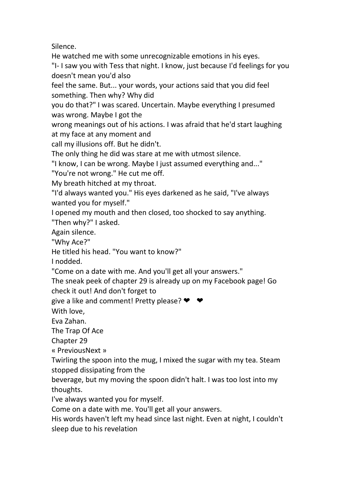Silence.

He watched me with some unrecognizable emotions in his eyes.

"I- I saw you with Tess that night. I know, just because I'd feelings for you doesn't mean you'd also

feel the same. But... your words, your actions said that you did feel something. Then why? Why did

you do that?" I was scared. Uncertain. Maybe everything I presumed was wrong. Maybe I got the

wrong meanings out of his actions. I was afraid that he'd start laughing at my face at any moment and

call my illusions off. But he didn't.

The only thing he did was stare at me with utmost silence.

"I know, I can be wrong. Maybe I just assumed everything and..."

"You're not wrong." He cut me off.

My breath hitched at my throat.

"I'd always wanted you." His eyes darkened as he said, "I've always wanted you for myself."

I opened my mouth and then closed, too shocked to say anything. "Then why?" I asked.

Again silence.

"Why Ace?"

He titled his head. "You want to know?"

I nodded.

"Come on a date with me. And you'll get all your answers."

The sneak peek of chapter 29 is already up on my Facebook page! Go check it out! And don't forget to

give a like and comment! Pretty please?  $\blacktriangleright\blacktriangleright\blacktriangleright\blacktriangleright$ 

With love,

Eva Zahan.

The Trap Of Ace

Chapter 29

« PreviousNext »

Twirling the spoon into the mug, I mixed the sugar with my tea. Steam stopped dissipating from the

beverage, but my moving the spoon didn't halt. I was too lost into my thoughts.

I've always wanted you for myself.

Come on a date with me. You'll get all your answers.

His words haven't left my head since last night. Even at night, I couldn't sleep due to his revelation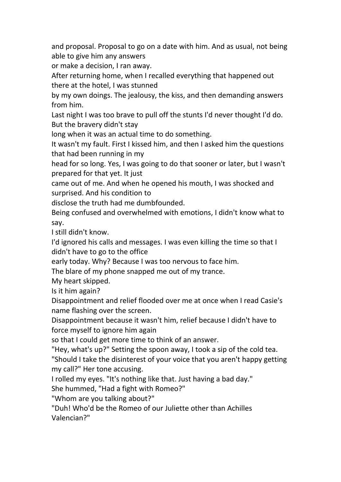and proposal. Proposal to go on a date with him. And as usual, not being able to give him any answers

or make a decision, Iran away.

After returning home, when I recalled everything that happened out there at the hotel, I was stunned

by my own doings. The jealousy, the kiss, and then demanding answers from him.

Last night I was too brave to pull off the stunts I'd never thought I'd do. But the bravery didn't stay

long when it was an actual time to do something.

It wasn't my fault. First I kissed him, and then I asked him the questions that had been running in my

head for so long. Yes, I was going to do that sooner or later, but I wasn't prepared for that yet. It just

came out of me. And when he opened his mouth, I was shocked and surprised. And his condition to

disclose the truth had me dumbfounded.

Being confused and overwhelmed with emotions, I didn't know what to say.

I still didn't know.

I'd ignored his calls and messages. I was even killing the time so that I didn't have to go to the office

early today. Why? Because Iwas too nervous to face him.

The blare of my phone snapped me out of my trance.

My heart skipped.

Is it him again?

Disappointment and relief flooded over me at once when I read Casie's name flashing over the screen.

Disappointment because it wasn't him, relief because I didn't have to force myself to ignore him again

so that I could get more time to think of an answer.

"Hey, what's up?" Setting the spoon away, I took a sip of the cold tea. "Should I take the disinterest of your voice that you aren't happy getting my call?" Her tone accusing.

I rolled my eyes. "It's nothing like that. Just having a bad day."

She hummed, "Had a fight with Romeo?"

"Whom are you talking about?"

"Duh! Who'd be the Romeo of our Juliette other than Achilles Valencian?"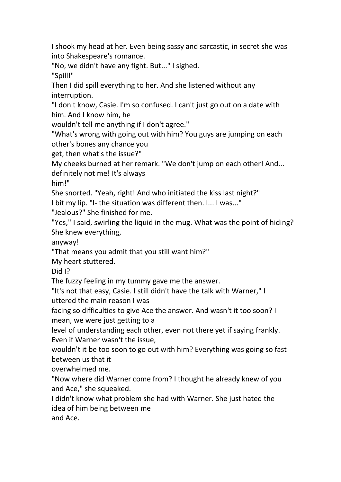I shook my head at her. Even being sassy and sarcastic, in secret she was into Shakespeare's romance.

"No, we didn't have any fight. But..." I sighed.

"Spill!"

Then I did spill everything to her. And she listened without any interruption.

"I don't know, Casie. I'm so confused. I can't just go out on a date with him. And I know him, he

wouldn't tell me anything if I don't agree."

"What's wrong with going out with him? You guys are jumping on each other's bones any chance you

get, then what's the issue?"

My cheeks burned at her remark. "We don't jump on each other! And...

definitely not me! It's always

him!"

She snorted. "Yeah, right! And who initiated the kiss last night?"

I bit my lip. "I- the situation was different then. I... I was..."

"Jealous?" She finished for me.

"Yes," I said, swirling the liquid in the mug. What was the point of hiding? She knew everything,

anyway!

"That means you admit that you still want him?"

My heart stuttered.

Did I?

The fuzzy feeling in my tummy gave me the answer.

"It's not that easy, Casie. I still didn't have the talk with Warner," I uttered the main reason I was

facing so difficulties to give Ace the answer. And wasn't it too soon? I mean, we were just getting to a

level of understanding each other, even not there yet if saying frankly. Even if Warner wasn't the issue,

wouldn't it be too soon to go out with him? Everything was going so fast between us that it

overwhelmed me.

"Now where did Warner come from? I thought he already knew of you and Ace," she squeaked.

I didn't know what problem she had with Warner. She just hated the idea of him being between me

and Ace.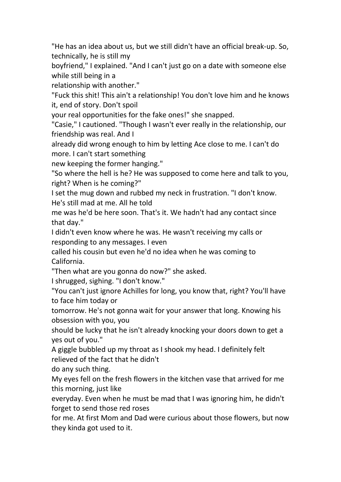"He has an idea about us, but we still didn't have an official break-up. So, technically, he is still my

boyfriend," I explained. "And I can't just go on a date with someone else while still being in a

relationship with another."

"Fuck this shit! This ain't a relationship! You don't love him and he knows it, end of story. Don't spoil

your real opportunities for the fake ones!" she snapped.

"Casie," I cautioned. "Though I wasn't ever really in the relationship, our friendship was real. And I

already did wrong enough to him by letting Aceclose to me. I can't do more. I can't start something

new keeping the former hanging."

"So where the hell is he? He was supposed to come here and talk to you, right? When is he coming?"

I set the mug down and rubbed my neck in frustration. "I don't know. He's still mad at me. All he told

me was he'd be here soon. That's it. We hadn't had any contact since that day."

I didn't even know where he was. He wasn't receiving my calls or responding to any messages. I even

called his cousin but even he'd no idea when he was coming to California.

"Then what are you gonna do now?" she asked.

I shrugged, sighing. "I don't know."

"You can't just ignore Achilles for long, you know that, right? You'll have to face him today or

tomorrow. He's not gonna wait for your answer that long. Knowing his obsession with you, you

should be lucky that he isn't already knocking your doors down to get a yes out of you."

A giggle bubbled up my throat as Ishook my head. I definitely felt relieved of the fact that he didn't

do any such thing.

My eyes fell on the fresh flowers in the kitchen vase that arrived for me this morning, just like

everyday. Even when he must be mad that I was ignoring him, he didn't forget to send those red roses

for me.At first Mom and Dad were curious about those flowers, but now they kinda got used to it.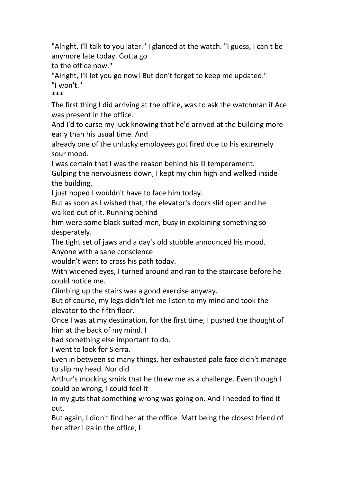"Alright, I'll talk to you later." I glanced at the watch. "I guess, I can't be anymore late today. Gotta go

to the office now."

"Alright, I'll let you go now! But don't forget to keep me updated."

"I won't."

\*\*\*

The first thing I did arriving at the office, was to ask the watchman if Ace was present in the office.

And I'd to curse my luck knowing that he'd arrived at the building more early than his usual time. And

already one of the unlucky employees got fired due to his extremely sour mood.

I was certain that I was the reason behind his ill temperament.

Gulping the nervousness down, I kept my chin high and walked inside the building.

I just hoped I wouldn't have to face him today.

But as soon as I wished that, the elevator's doors slid open and he walked out of it. Running behind

him were some black suited men, busy in explaining something so desperately.

The tight set of jaws and a day's old stubble announced his mood. Anyone with a sane conscience

wouldn't want to cross his path today.

With widened eyes, I turned around and ran to the staircase before he could notice me.

Climbing up the stairs was a good exercise anyway.

But of course, my legs didn't let me listen to mymind and took the elevator to the fifth floor.

Once I was at my destination, for the first time, I pushed the thought of him at the back of my mind. I

had something else important to do.

I went to look for Sierra.

Even in between so many things, her exhausted pale face didn't manage to slip my head. Nor did

Arthur's mocking smirk that he threw me as a challenge. Even though I could be wrong, I could feel it

in my guts that something wrong was going on. And I needed to find it out.

But again, I didn't find her at the office. Matt being the closest friend of her after Liza in the office, I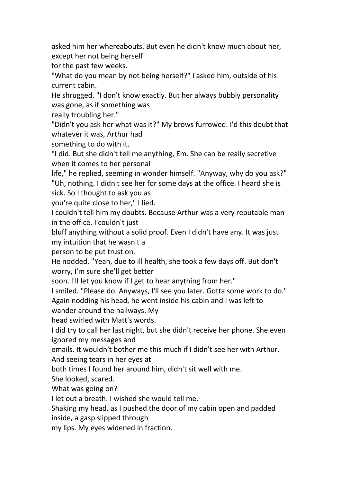asked him her whereabouts. But even he didn't know much about her, except her not being herself

for the past few weeks.

"What do you mean by not being herself?" I asked him, outside of his current cabin.

He shrugged. "I don't know exactly. But her always bubbly personality was gone, as if something was

really troubling her."

"Didn't you ask her what was it?" My brows furrowed. I'd this doubt that whatever it was, Arthur had

something to do with it.

"I did. But she didn't tell me anything, Em. She can be really secretive when it comes to her personal

life," he replied, seeming in wonder himself. "Anyway, why do you ask?" "Uh, nothing. I didn't see her for some days at the office. I heard she is sick. So I thought to ask you as

you're quite close to her," I lied.

I couldn't tell him my doubts. Because Arthur was a very reputable man in the office. I couldn't just

bluff anything without a solid proof. Even I didn't have any. It was just my intuition that he wasn't a

person to be put trust on.

He nodded. "Yeah, due to ill health, she took a few days off. But don't worry, I'm sure she'll get better

soon. I'll let you know if I get to hear anything from her."

I smiled. "Please do. Anyways, I'll see you later. Gotta some work to do." Again nodding his head, he went inside his cabin and I was left to

wander around the hallways. My

head swirled with Matt's words.

I did try to call her last night, but she didn't receive her phone. She even ignored my messages and

emails. It wouldn't bother me this much if I didn't see her with Arthur. And seeing tears in her eyes at

both times I found her around him, didn't sit well with me.

She looked, scared.

What was going on?

I let out a breath. I wished she would tell me.

Shaking my head, as I pushed the door of my cabin open and padded inside, a gasp slipped through

my lips. My eyes widened in fraction.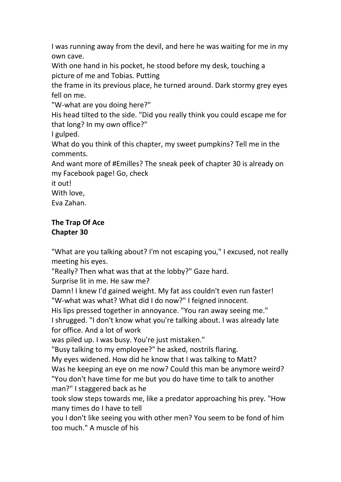I was running away from the devil, and here he was waiting for me in my own cave.

With one hand in his pocket, he stood before my desk, touching a picture of me and Tobias. Putting

the frame in its previous place, he turned around. Dark stormy grey eyes fell on me.

"W-what are you doing here?"

His head tilted to the side. "Did you really think you could escape me for that long? In my own office?"

I gulped.

What do you think of this chapter, my sweet pumpkins? Tell me in the comments.

And want more of #Emilles? The sneak peek of chapter 30 is already on my Facebook page! Go, check

it out!

With love,

Eva Zahan.

## **The Trap Of Ace Chapter 30**

"What are you talking about? I'm not escaping you," I excused, not really meeting his eyes.

"Really? Then what was that at the lobby?" Gaze hard.

Surprise lit in me. He saw me?

Damn! I knew I'd gained weight. My fat ass couldn't even run faster! "W-what was what? What did I do now?" I feigned innocent.

His lips pressed together in annoyance. "You ran away seeing me."

I shrugged. "I don't know what you're talking about. I was already late for office. And a lot of work

was piled up. I was busy. You're just mistaken."

"Busy talking to my employee?" he asked, nostrils flaring.

My eyes widened. How did he know that I was talking to Matt?

Was he keeping an eye on me now? Could this man be anymore weird? "You don't have time for me but you do have time to talk to another man?" I staggered back as he

took slow steps towards me, like a predator approaching his prey. "How many times do I have to tell

you I don't like seeing you with other men? You seem to be fond of him too much." A muscle of his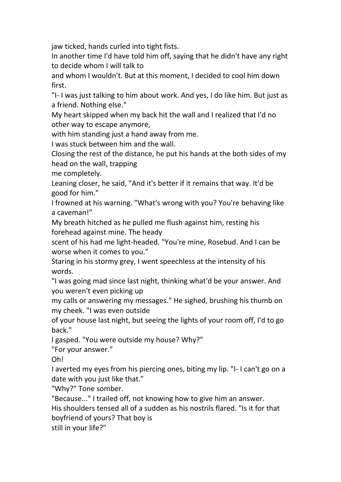jaw ticked, hands curled into tight fists.

In another time I'd have told him off, saying that he didn't have any right to decide whom I will talk to

and whom I wouldn't. But at this moment, I decided to cool him down first.

"I- I was just talking to him about work. And yes, I do like him. But just as a friend. Nothing else."

My heart skipped when my back hit the wall and I realized that I'd no other way to escape anymore,

with him standing just a hand away from me.

I was stuck between him and the wall.

Closing the rest of the distance, he put his hands at the both sides of my head on the wall, trapping

me completely.

Leaning closer, he said, "And it's better if it remains that way. It'd be good for him."

I frowned at his warning. "What's wrong with you? You're behaving like a caveman!"

My breath hitched as he pulled me flush against him, resting his forehead against mine. The heady

scent of his had me light-headed. "You're mine, Rosebud. And I can be worse when it comes to you."

Staring in his stormy grey, I went speechless at the intensity of his words.

"I was going mad since last night, thinking what'd be your answer. And you weren't even picking up

my calls or answering my messages." He sighed, brushing his thumb on my cheek. "I was even outside

of your house last night, but seeing the lights of your room off, I'd to go back."

I gasped. "You were outside my house? Why?"

"For your answer."

Oh!

I averted my eyes from his piercing ones, biting my lip. "I- I can't go on a date with you just like that."

"Why?" Tone somber.

"Because..." I trailed off, not knowing how to give him an answer.

His shoulders tensed all of a sudden as his nostrils flared. "Is it for that boyfriend of yours? That boy is

still in your life?"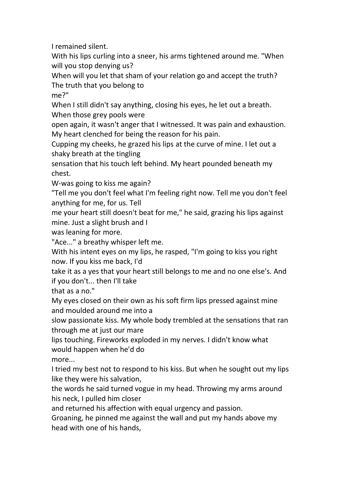I remained silent.

With his lips curling into a sneer, his arms tightened around me. "When will you stop denying us?

When will you let that sham of your relation go and accept the truth? The truth that you belong to

me?"

When I still didn't say anything, closing his eyes, he let out a breath. When those grey pools were

open again, it wasn't anger that I witnessed. It was pain and exhaustion. My heart clenched for being the reason for his pain.

Cupping my cheeks, he grazed his lips at the curve of mine. I let out a shaky breath at the tingling

sensation that his touch left behind. My heart pounded beneath my chest.

W-was going to kiss me again?

"Tell me you don't feel what I'm feeling right now. Tell me you don't feel anything for me, for us. Tell

me your heart still doesn't beat for me," he said, grazing his lips against mine. Just a slight brush and I

was leaning for more.

"Ace..." a breathy whisper left me.

With his intent eyes on my lips, he rasped, "I'm going to kiss you right now. If you kiss me back, I'd

take it as a yes that your heart still belongs to me and no one else's. And if you don't... then I'll take

that as a no."

My eyes closed on their own as his soft firm lips pressed against mine and moulded around me into a

slow passionate kiss. My whole body trembled at the sensations that ran through me at just our mare

lips touching. Fireworks exploded in my nerves. I didn't know what would happen when he'd do

more...

I tried my best not to respond to his kiss. But when he sought out my lips like they were his salvation,

the words he said turned vogue in my head. Throwing my arms around his neck, I pulled him closer

and returned his affection with equal urgency and passion.

Groaning, he pinned me against the wall and put my hands above my head with one of his hands,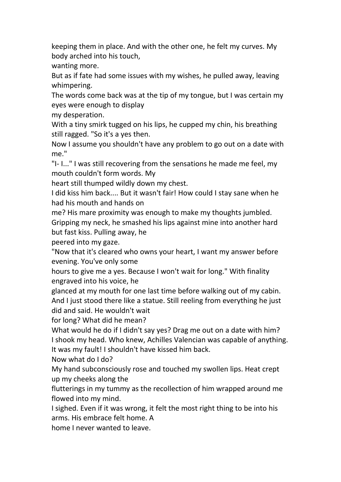keeping them in place. And with the other one, he felt my curves. My body arched into his touch,

wanting more.

But as if fate had some issues with my wishes, he pulled away, leaving whimpering.

The words come back was at the tip of my tongue, but I was certain my eyes were enough to display

my desperation.

With a tiny smirk tugged on his lips, he cupped my chin, his breathing still ragged. "So it's a yes then.

Now I assume you shouldn't have any problem to go out on a date with me."

"I- I..." I was still recovering from the sensations he made me feel, my mouth couldn't form words. My

heart still thumped wildly down my chest.

I did kiss him back.... But it wasn't fair! How could I stay sane when he had his mouth and hands on

me? His mare proximity was enough to make my thoughts jumbled. Gripping my neck, he smashed his lips against mine into another hard but fast kiss. Pulling away, he

peered into my gaze.

"Now that it's cleared who owns your heart, I want my answer before evening. You've only some

hours to give me a yes. Because I won't wait for long." With finality engraved into his voice, he

glanced at my mouth for one last time before walking out of my cabin. And I just stood there like a statue. Still reeling from everything he just did and said. He wouldn't wait

for long? What did he mean?

What would he do if I didn't say yes? Drag me out on a date with him? I shook my head. Who knew, Achilles Valencian was capable of anything. It was my fault!I shouldn't have kissed him back.

Now what do I do?

My hand subconsciously rose and touched my swollen lips. Heat crept up my cheeks along the

flutterings in my tummy as the recollection of him wrapped around me flowed into my mind.

I sighed. Even if it was wrong, it felt the most right thing to be into his arms. His embrace felt home. A

home I never wanted to leave.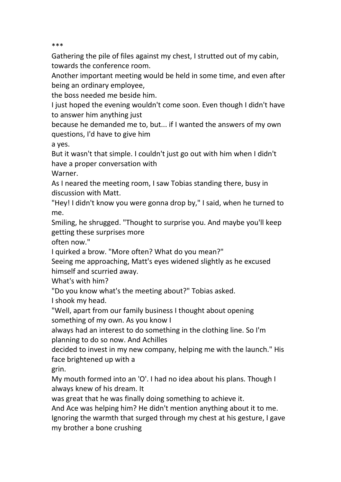\*\*\*

Gathering the pile of files against my chest, I strutted out of my cabin, towards the conference room.

Another important meeting would be held in some time, and even after being an ordinary employee,

the boss needed me beside him.

I just hoped the evening wouldn't come soon. Even though I didn't have to answer him anything just

because he demanded me to, but... if I wanted the answers of my own questions, I'd have to give him

a yes.

But it wasn't that simple. I couldn't just go out with him when I didn't have a proper conversation with

Warner.

As I neared the meeting room, I saw Tobias standing there, busy in discussion with Matt.

"Hey! I didn't know you were gonna drop by," I said, when he turned to me.

Smiling, he shrugged. "Thought to surprise you. And maybe you'll keep getting these surprises more

often now."

I quirked a brow. "More often? What do you mean?"

Seeing me approaching, Matt's eyes widened slightly as he excused himself and scurried away.

What's with him?

"Do you know what's the meeting about?" Tobias asked.

I shook my head.

"Well, apart from our family business I thought about opening something of my own. As you know I

always had an interest to do something in the clothing line. So I'm planning to do so now. And Achilles

decided to invest in my new company, helping me with the launch." His face brightened up with a

grin.

My mouth formed into an 'O'. I had no idea about his plans. Though I always knew of his dream. It

was great that he was finally doing something to achieve it.

And Ace was helping him? He didn't mention anything about it to me. Ignoring the warmth that surged through my chest at his gesture, I gave my brother a bone crushing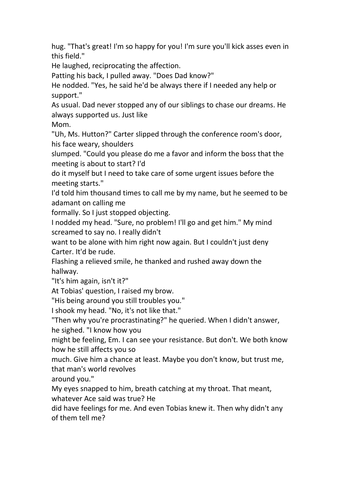hug. "That's great! I'm so happy for you! I'm sure you'll kick asses even in this field."

He laughed, reciprocating the affection.

Patting his back, I pulled away. "Does Dad know?"

He nodded. "Yes, he said he'd be always there if I needed any help or support."

As usual. Dad never stopped any of our siblings to chase our dreams. He always supported us. Just like

Mom.

"Uh, Ms. Hutton?" Carter slipped through the conference room's door, his face weary, shoulders

slumped. "Could you please do me a favor and inform the bossthat the meeting is about to start? I'd

do it myself but I need to take care of some urgent issues before the meeting starts."

I'd told him thousand times to call me by my name, but he seemed to be adamant on calling me

formally. So I just stopped objecting.

I nodded my head. "Sure, no problem! I'll go and get him." My mind screamed to say no. I really didn't

want to be alone with him right now again. But I couldn't just deny Carter. It'd be rude.

Flashing a relieved smile, he thanked and rushed away down the hallway.

"It's him again, isn't it?"

At Tobias' question, I raised my brow.

"His being around you still troubles you."

I shook my head. "No, it's not like that."

"Then why you're procrastinating?" he queried. When I didn't answer, he sighed. "I know how you

might be feeling, Em. I can see your resistance. But don't. We both know how he still affects you so

much. Give him a chance at least. Maybe you don't know, but trust me, that man's world revolves

around you."<br>My eyes snapped to him, breath catching at my throat. That meant, whatever Ace said was true? He

did have feelings for me. And even Tobias knew it. Then why didn't any of them tell me?